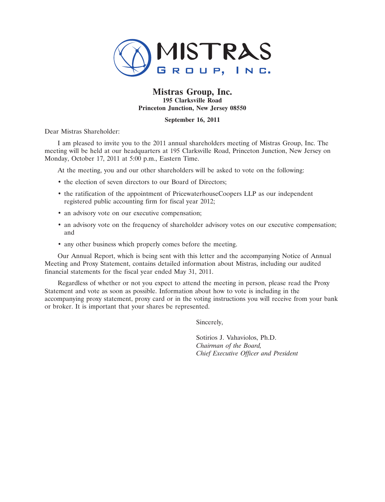

# **Mistras Group, Inc. 195 Clarksville Road Princeton Junction, New Jersey 08550**

# **September 16, 2011**

Dear Mistras Shareholder:

I am pleased to invite you to the 2011 annual shareholders meeting of Mistras Group, Inc. The meeting will be held at our headquarters at 195 Clarksville Road, Princeton Junction, New Jersey on Monday, October 17, 2011 at 5:00 p.m., Eastern Time.

At the meeting, you and our other shareholders will be asked to vote on the following:

- the election of seven directors to our Board of Directors;
- the ratification of the appointment of PricewaterhouseCoopers LLP as our independent registered public accounting firm for fiscal year 2012;
- an advisory vote on our executive compensation;
- an advisory vote on the frequency of shareholder advisory votes on our executive compensation; and
- any other business which properly comes before the meeting.

Our Annual Report, which is being sent with this letter and the accompanying Notice of Annual Meeting and Proxy Statement, contains detailed information about Mistras, including our audited financial statements for the fiscal year ended May 31, 2011.

Regardless of whether or not you expect to attend the meeting in person, please read the Proxy Statement and vote as soon as possible. Information about how to vote is including in the accompanying proxy statement, proxy card or in the voting instructions you will receive from your bank or broker. It is important that your shares be represented.

Sincerely,

Sotirios J. Vahaviolos, Ph.D. *Chairman of the Board, Chief Executive Officer and President*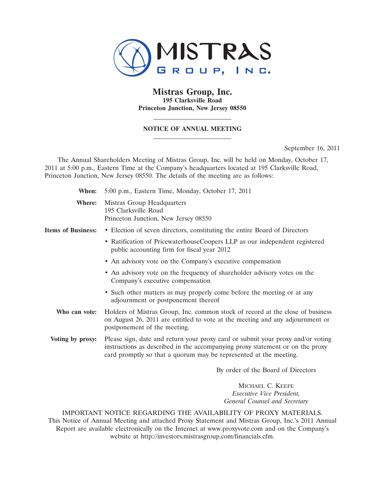

# **Mistras Group, Inc. 195 Clarksville Road Princeton Junction, New Jersey 08550**

# **NOTICE OF ANNUAL MEETING**

September 16, 2011

The Annual Shareholders Meeting of Mistras Group, Inc. will be held on Monday, October 17, 2011 at 5:00 p.m., Eastern Time at the Company's headquarters located at 195 Clarksville Road, Princeton Junction, New Jersey 08550. The details of the meeting are as follows:

| When:                     | 5:00 p.m., Eastern Time, Monday, October 17, 2011                                                                                                                                                                                     |
|---------------------------|---------------------------------------------------------------------------------------------------------------------------------------------------------------------------------------------------------------------------------------|
| Where:                    | Mistras Group Headquarters<br>195 Clarksville Road<br>Princeton Junction, New Jersey 08550                                                                                                                                            |
| <b>Items of Business:</b> | • Election of seven directors, constituting the entire Board of Directors                                                                                                                                                             |
|                           | • Ratification of PricewaterhouseCoopers LLP as our independent registered<br>public accounting firm for fiscal year 2012                                                                                                             |
|                           | • An advisory vote on the Company's executive compensation                                                                                                                                                                            |
|                           | • An advisory vote on the frequency of shareholder advisory votes on the<br>Company's executive compensation                                                                                                                          |
|                           | • Such other matters as may properly come before the meeting or at any<br>adjournment or postponement thereof                                                                                                                         |
| Who can vote:             | Holders of Mistras Group, Inc. common stock of record at the close of business<br>on August 26, 2011 are entitled to vote at the meeting and any adjournment or<br>postponement of the meeting.                                       |
| Voting by proxy:          | Please sign, date and return your proxy card or submit your proxy and/or voting<br>instructions as described in the accompanying proxy statement or on the proxy<br>card promptly so that a quorum may be represented at the meeting. |
|                           | By order of the Board of Directors                                                                                                                                                                                                    |
|                           | MICHAEL C. KEEFE                                                                                                                                                                                                                      |
|                           | <i>Frecutive Vice President</i>                                                                                                                                                                                                       |

*Executive Vice President, General Counsel and Secretary*

IMPORTANT NOTICE REGARDING THE AVAILABILITY OF PROXY MATERIALS. This Notice of Annual Meeting and attached Proxy Statement and Mistras Group, Inc.'s 2011 Annual Report are available electronically on the Internet at www.proxyvote.com and on the Company's website at http://investors.mistrasgroup.com/financials.cfm.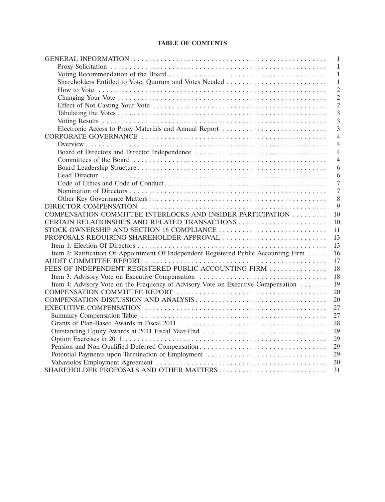# **TABLE OF CONTENTS**

|                                                                                      | $\mathbf{1}$   |
|--------------------------------------------------------------------------------------|----------------|
|                                                                                      | -1             |
|                                                                                      | $\mathbf{1}$   |
| Shareholders Entitled to Vote, Quorum and Votes Needed                               | 1              |
|                                                                                      | $\overline{2}$ |
|                                                                                      | $\overline{2}$ |
|                                                                                      | $\overline{2}$ |
|                                                                                      | 3              |
|                                                                                      | $\overline{3}$ |
| Electronic Access to Proxy Materials and Annual Report                               | $\overline{3}$ |
|                                                                                      | $\overline{4}$ |
|                                                                                      | $\overline{4}$ |
|                                                                                      | $\overline{4}$ |
|                                                                                      | $\overline{4}$ |
|                                                                                      | 6              |
|                                                                                      | 6              |
|                                                                                      | $\overline{7}$ |
|                                                                                      | $\overline{7}$ |
|                                                                                      | 8              |
|                                                                                      | 9              |
| COMPENSATION COMMITTEE INTERLOCKS AND INSIDER PARTICIPATION                          | 10             |
|                                                                                      | 10             |
| STOCK OWNERSHIP AND SECTION 16 COMPLIANCE                                            | 11             |
| PROPOSALS REQUIRING SHAREHOLDER APPROVAL                                             | 13             |
|                                                                                      | 13             |
| Item 2: Ratification Of Appointment Of Independent Registered Public Accounting Firm | 16             |
|                                                                                      | 17             |
| FEES OF INDEPENDENT REGISTERED PUBLIC ACCOUNTING FIRM                                | 18             |
| Item 3: Advisory Vote on Executive Compensation                                      | 18             |
| Item 4: Advisory Vote on the Frequency of Advisory Vote on Executive Compensation    | 19             |
|                                                                                      | 20             |
|                                                                                      | 20             |
|                                                                                      | 27             |
|                                                                                      | 27             |
|                                                                                      | 28             |
|                                                                                      | 29             |
|                                                                                      | 29             |
|                                                                                      | 29             |
| Potential Payments upon Termination of Employment                                    | 29             |
|                                                                                      | 30             |
|                                                                                      | 31             |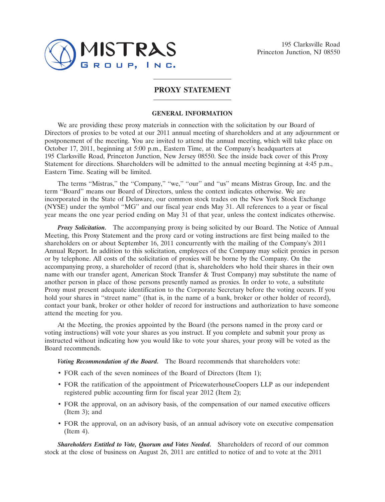

195 Clarksville Road Princeton Junction, NJ 08550

# **PROXY STATEMENT**

### **GENERAL INFORMATION**

We are providing these proxy materials in connection with the solicitation by our Board of Directors of proxies to be voted at our 2011 annual meeting of shareholders and at any adjournment or postponement of the meeting. You are invited to attend the annual meeting, which will take place on October 17, 2011, beginning at 5:00 p.m., Eastern Time, at the Company's headquarters at 195 Clarksville Road, Princeton Junction, New Jersey 08550. See the inside back cover of this Proxy Statement for directions. Shareholders will be admitted to the annual meeting beginning at 4:45 p.m., Eastern Time. Seating will be limited.

The terms "Mistras," the "Company," "we," "our" and "us" means Mistras Group, Inc. and the term ''Board'' means our Board of Directors, unless the context indicates otherwise. We are incorporated in the State of Delaware, our common stock trades on the New York Stock Exchange (NYSE) under the symbol ''MG'' and our fiscal year ends May 31. All references to a year or fiscal year means the one year period ending on May 31 of that year, unless the context indicates otherwise.

*Proxy Solicitation.* The accompanying proxy is being solicited by our Board. The Notice of Annual Meeting, this Proxy Statement and the proxy card or voting instructions are first being mailed to the shareholders on or about September 16, 2011 concurrently with the mailing of the Company's 2011 Annual Report. In addition to this solicitation, employees of the Company may solicit proxies in person or by telephone. All costs of the solicitation of proxies will be borne by the Company. On the accompanying proxy, a shareholder of record (that is, shareholders who hold their shares in their own name with our transfer agent, American Stock Transfer & Trust Company) may substitute the name of another person in place of those persons presently named as proxies. In order to vote, a substitute Proxy must present adequate identification to the Corporate Secretary before the voting occurs. If you hold your shares in ''street name'' (that is, in the name of a bank, broker or other holder of record), contact your bank, broker or other holder of record for instructions and authorization to have someone attend the meeting for you.

At the Meeting, the proxies appointed by the Board (the persons named in the proxy card or voting instructions) will vote your shares as you instruct. If you complete and submit your proxy as instructed without indicating how you would like to vote your shares, your proxy will be voted as the Board recommends.

*Voting Recommendation of the Board.* The Board recommends that shareholders vote:

- FOR each of the seven nominees of the Board of Directors (Item 1);
- FOR the ratification of the appointment of PricewaterhouseCoopers LLP as our independent registered public accounting firm for fiscal year 2012 (Item 2);
- FOR the approval, on an advisory basis, of the compensation of our named executive officers (Item 3); and
- FOR the approval, on an advisory basis, of an annual advisory vote on executive compensation (Item 4).

*Shareholders Entitled to Vote, Quorum and Votes Needed.* Shareholders of record of our common stock at the close of business on August 26, 2011 are entitled to notice of and to vote at the 2011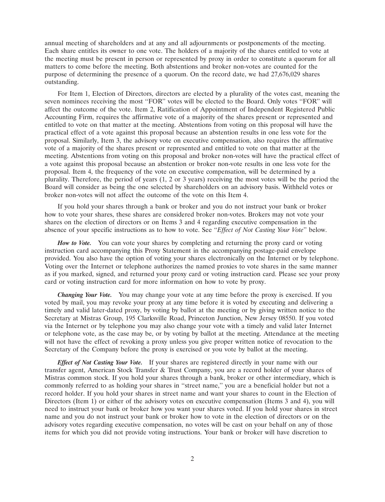annual meeting of shareholders and at any and all adjournments or postponements of the meeting. Each share entitles its owner to one vote. The holders of a majority of the shares entitled to vote at the meeting must be present in person or represented by proxy in order to constitute a quorum for all matters to come before the meeting. Both abstentions and broker non-votes are counted for the purpose of determining the presence of a quorum. On the record date, we had 27,676,029 shares outstanding.

For Item 1, Election of Directors, directors are elected by a plurality of the votes cast, meaning the seven nominees receiving the most "FOR" votes will be elected to the Board. Only votes "FOR" will affect the outcome of the vote. Item 2, Ratification of Appointment of Independent Registered Public Accounting Firm, requires the affirmative vote of a majority of the shares present or represented and entitled to vote on that matter at the meeting. Abstentions from voting on this proposal will have the practical effect of a vote against this proposal because an abstention results in one less vote for the proposal. Similarly, Item 3, the advisory vote on executive compensation, also requires the affirmative vote of a majority of the shares present or represented and entitled to vote on that matter at the meeting. Abstentions from voting on this proposal and broker non-votes will have the practical effect of a vote against this proposal because an abstention or broker non-vote results in one less vote for the proposal. Item 4, the frequency of the vote on executive compensation, will be determined by a plurality. Therefore, the period of years (1, 2 or 3 years) receiving the most votes will be the period the Board will consider as being the one selected by shareholders on an advisory basis. Withheld votes or broker non-votes will not affect the outcome of the vote on this Item 4.

If you hold your shares through a bank or broker and you do not instruct your bank or broker how to vote your shares, these shares are considered broker non-votes. Brokers may not vote your shares on the election of directors or on Items 3 and 4 regarding executive compensation in the absence of your specific instructions as to how to vote. See ''*Effect of Not Casting Your Vote*'' below.

How to Vote. You can vote your shares by completing and returning the proxy card or voting instruction card accompanying this Proxy Statement in the accompanying postage-paid envelope provided. You also have the option of voting your shares electronically on the Internet or by telephone. Voting over the Internet or telephone authorizes the named proxies to vote shares in the same manner as if you marked, signed, and returned your proxy card or voting instruction card. Please see your proxy card or voting instruction card for more information on how to vote by proxy.

*Changing Your Vote.* You may change your vote at any time before the proxy is exercised. If you voted by mail, you may revoke your proxy at any time before it is voted by executing and delivering a timely and valid later-dated proxy, by voting by ballot at the meeting or by giving written notice to the Secretary at Mistras Group, 195 Clarksville Road, Princeton Junction, New Jersey 08550. If you voted via the Internet or by telephone you may also change your vote with a timely and valid later Internet or telephone vote, as the case may be, or by voting by ballot at the meeting. Attendance at the meeting will not have the effect of revoking a proxy unless you give proper written notice of revocation to the Secretary of the Company before the proxy is exercised or you vote by ballot at the meeting.

*Effect of Not Casting Your Vote.* If your shares are registered directly in your name with our transfer agent, American Stock Transfer & Trust Company, you are a record holder of your shares of Mistras common stock. If you hold your shares through a bank, broker or other intermediary, which is commonly referred to as holding your shares in ''street name,'' you are a beneficial holder but not a record holder. If you hold your shares in street name and want your shares to count in the Election of Directors (Item 1) or either of the advisory votes on executive compensation (Items 3 and 4), you will need to instruct your bank or broker how you want your shares voted. If you hold your shares in street name and you do not instruct your bank or broker how to vote in the election of directors or on the advisory votes regarding executive compensation, no votes will be cast on your behalf on any of those items for which you did not provide voting instructions. Your bank or broker will have discretion to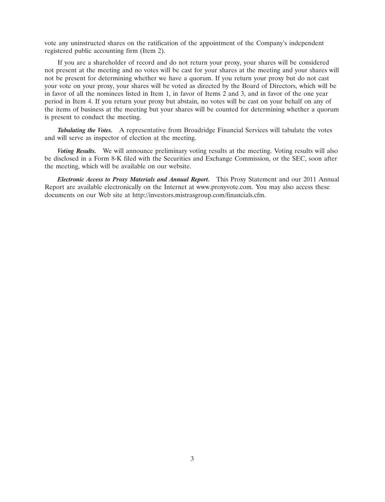vote any uninstructed shares on the ratification of the appointment of the Company's independent registered public accounting firm (Item 2).

If you are a shareholder of record and do not return your proxy, your shares will be considered not present at the meeting and no votes will be cast for your shares at the meeting and your shares will not be present for determining whether we have a quorum. If you return your proxy but do not cast your vote on your proxy, your shares will be voted as directed by the Board of Directors, which will be in favor of all the nominees listed in Item 1, in favor of Items 2 and 3, and in favor of the one year period in Item 4. If you return your proxy but abstain, no votes will be cast on your behalf on any of the items of business at the meeting but your shares will be counted for determining whether a quorum is present to conduct the meeting.

*Tabulating the Votes.* A representative from Broadridge Financial Services will tabulate the votes and will serve as inspector of election at the meeting.

*Voting Results.* We will announce preliminary voting results at the meeting. Voting results will also be disclosed in a Form 8-K filed with the Securities and Exchange Commission, or the SEC, soon after the meeting, which will be available on our website.

*Electronic Access to Proxy Materials and Annual Report.* This Proxy Statement and our 2011 Annual Report are available electronically on the Internet at www.proxyvote.com. You may also access these documents on our Web site at http://investors.mistrasgroup.com/financials.cfm.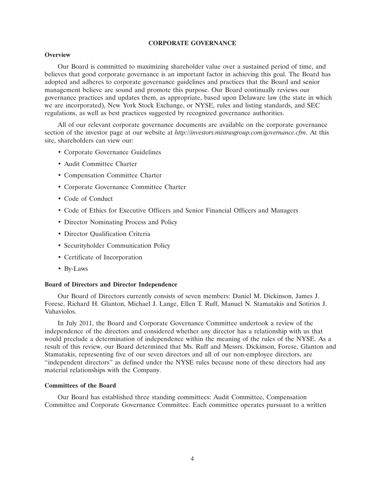# **CORPORATE GOVERNANCE**

### **Overview**

Our Board is committed to maximizing shareholder value over a sustained period of time, and believes that good corporate governance is an important factor in achieving this goal. The Board has adopted and adheres to corporate governance guidelines and practices that the Board and senior management believe are sound and promote this purpose. Our Board continually reviews our governance practices and updates them, as appropriate, based upon Delaware law (the state in which we are incorporated), New York Stock Exchange, or NYSE, rules and listing standards, and SEC regulations, as well as best practices suggested by recognized governance authorities.

All of our relevant corporate governance documents are available on the corporate governance section of the investor page at our website at *http://investors.mistrasgroup.com/governance.cfm*. At this site, shareholders can view our:

- Corporate Governance Guidelines
- Audit Committee Charter
- Compensation Committee Charter
- Corporate Governance Committee Charter
- Code of Conduct
- Code of Ethics for Executive Officers and Senior Financial Officers and Managers
- Director Nominating Process and Policy
- Director Qualification Criteria
- Securityholder Communication Policy
- Certificate of Incorporation
- By-Laws

### **Board of Directors and Director Independence**

Our Board of Directors currently consists of seven members: Daniel M. Dickinson, James J. Forese, Richard H. Glanton, Michael J. Lange, Ellen T. Ruff, Manuel N. Stamatakis and Sotirios J. Vahaviolos.

In July 2011, the Board and Corporate Governance Committee undertook a review of the independence of the directors and considered whether any director has a relationship with us that would preclude a determination of independence within the meaning of the rules of the NYSE. As a result of this review, our Board determined that Ms. Ruff and Messrs. Dickinson, Forese, Glanton and Stamatakis, representing five of our seven directors and all of our non-employee directors, are ''independent directors'' as defined under the NYSE rules because none of these directors had any material relationships with the Company.

## **Committees of the Board**

Our Board has established three standing committees: Audit Committee, Compensation Committee and Corporate Governance Committee. Each committee operates pursuant to a written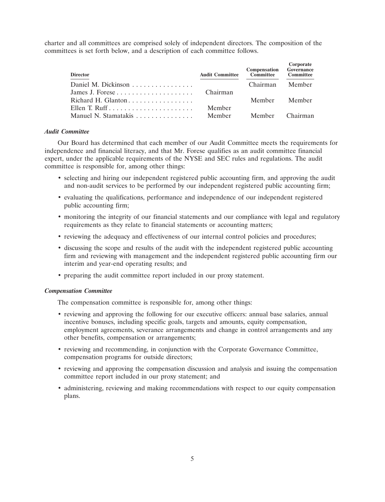charter and all committees are comprised solely of independent directors. The composition of the committees is set forth below, and a description of each committee follows.

| <b>Director</b>      | <b>Audit Committee</b> | <b>Compensation</b> Governance<br>Committee | Corporate<br>Committee |
|----------------------|------------------------|---------------------------------------------|------------------------|
| Daniel M. Dickinson  |                        | Chairman Member                             |                        |
|                      |                        |                                             |                        |
|                      |                        | Member Member                               |                        |
|                      | Member                 |                                             |                        |
| Manuel N. Stamatakis |                        | Member Member Chairman                      |                        |

# *Audit Committee*

Our Board has determined that each member of our Audit Committee meets the requirements for independence and financial literacy, and that Mr. Forese qualifies as an audit committee financial expert, under the applicable requirements of the NYSE and SEC rules and regulations. The audit committee is responsible for, among other things:

- selecting and hiring our independent registered public accounting firm, and approving the audit and non-audit services to be performed by our independent registered public accounting firm;
- evaluating the qualifications, performance and independence of our independent registered public accounting firm;
- monitoring the integrity of our financial statements and our compliance with legal and regulatory requirements as they relate to financial statements or accounting matters;
- reviewing the adequacy and effectiveness of our internal control policies and procedures;
- discussing the scope and results of the audit with the independent registered public accounting firm and reviewing with management and the independent registered public accounting firm our interim and year-end operating results; and
- preparing the audit committee report included in our proxy statement.

## *Compensation Committee*

The compensation committee is responsible for, among other things:

- reviewing and approving the following for our executive officers: annual base salaries, annual incentive bonuses, including specific goals, targets and amounts, equity compensation, employment agreements, severance arrangements and change in control arrangements and any other benefits, compensation or arrangements;
- reviewing and recommending, in conjunction with the Corporate Governance Committee, compensation programs for outside directors;
- reviewing and approving the compensation discussion and analysis and issuing the compensation committee report included in our proxy statement; and
- administering, reviewing and making recommendations with respect to our equity compensation plans.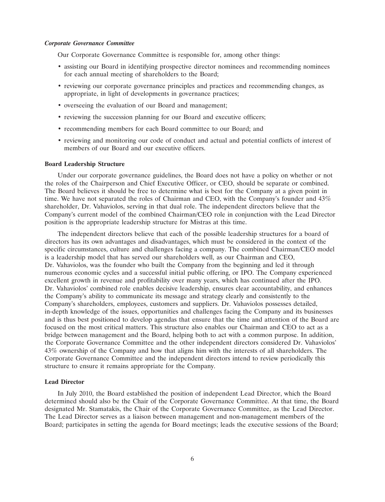## *Corporate Governance Committee*

Our Corporate Governance Committee is responsible for, among other things:

- assisting our Board in identifying prospective director nominees and recommending nominees for each annual meeting of shareholders to the Board;
- reviewing our corporate governance principles and practices and recommending changes, as appropriate, in light of developments in governance practices;
- overseeing the evaluation of our Board and management;
- reviewing the succession planning for our Board and executive officers;
- recommending members for each Board committee to our Board; and
- reviewing and monitoring our code of conduct and actual and potential conflicts of interest of members of our Board and our executive officers.

### **Board Leadership Structure**

Under our corporate governance guidelines, the Board does not have a policy on whether or not the roles of the Chairperson and Chief Executive Officer, or CEO, should be separate or combined. The Board believes it should be free to determine what is best for the Company at a given point in time. We have not separated the roles of Chairman and CEO, with the Company's founder and 43% shareholder, Dr. Vahaviolos, serving in that dual role. The independent directors believe that the Company's current model of the combined Chairman/CEO role in conjunction with the Lead Director position is the appropriate leadership structure for Mistras at this time.

The independent directors believe that each of the possible leadership structures for a board of directors has its own advantages and disadvantages, which must be considered in the context of the specific circumstances, culture and challenges facing a company. The combined Chairman/CEO model is a leadership model that has served our shareholders well, as our Chairman and CEO, Dr. Vahaviolos, was the founder who built the Company from the beginning and led it through numerous economic cycles and a successful initial public offering, or IPO. The Company experienced excellent growth in revenue and profitability over many years, which has continued after the IPO. Dr. Vahaviolos' combined role enables decisive leadership, ensures clear accountability, and enhances the Company's ability to communicate its message and strategy clearly and consistently to the Company's shareholders, employees, customers and suppliers. Dr. Vahaviolos possesses detailed, in-depth knowledge of the issues, opportunities and challenges facing the Company and its businesses and is thus best positioned to develop agendas that ensure that the time and attention of the Board are focused on the most critical matters. This structure also enables our Chairman and CEO to act as a bridge between management and the Board, helping both to act with a common purpose. In addition, the Corporate Governance Committee and the other independent directors considered Dr. Vahaviolos' 43% ownership of the Company and how that aligns him with the interests of all shareholders. The Corporate Governance Committee and the independent directors intend to review periodically this structure to ensure it remains appropriate for the Company.

#### **Lead Director**

In July 2010, the Board established the position of independent Lead Director, which the Board determined should also be the Chair of the Corporate Governance Committee. At that time, the Board designated Mr. Stamatakis, the Chair of the Corporate Governance Committee, as the Lead Director. The Lead Director serves as a liaison between management and non-management members of the Board; participates in setting the agenda for Board meetings; leads the executive sessions of the Board;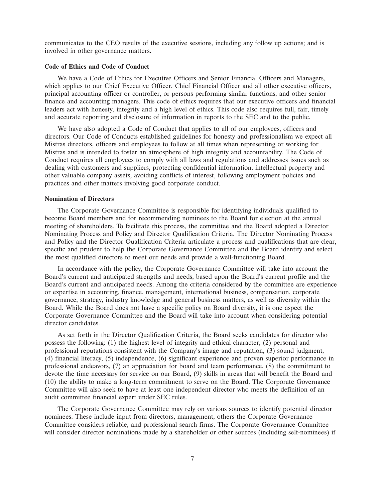communicates to the CEO results of the executive sessions, including any follow up actions; and is involved in other governance matters.

# **Code of Ethics and Code of Conduct**

We have a Code of Ethics for Executive Officers and Senior Financial Officers and Managers, which applies to our Chief Executive Officer, Chief Financial Officer and all other executive officers, principal accounting officer or controller, or persons performing similar functions, and other senior finance and accounting managers. This code of ethics requires that our executive officers and financial leaders act with honesty, integrity and a high level of ethics. This code also requires full, fair, timely and accurate reporting and disclosure of information in reports to the SEC and to the public.

We have also adopted a Code of Conduct that applies to all of our employees, officers and directors. Our Code of Conducts established guidelines for honesty and professionalism we expect all Mistras directors, officers and employees to follow at all times when representing or working for Mistras and is intended to foster an atmosphere of high integrity and accountability. The Code of Conduct requires all employees to comply with all laws and regulations and addresses issues such as dealing with customers and suppliers, protecting confidential information, intellectual property and other valuable company assets, avoiding conflicts of interest, following employment policies and practices and other matters involving good corporate conduct.

### **Nomination of Directors**

The Corporate Governance Committee is responsible for identifying individuals qualified to become Board members and for recommending nominees to the Board for election at the annual meeting of shareholders. To facilitate this process, the committee and the Board adopted a Director Nominating Process and Policy and Director Qualification Criteria. The Director Nominating Process and Policy and the Director Qualification Criteria articulate a process and qualifications that are clear, specific and prudent to help the Corporate Governance Committee and the Board identify and select the most qualified directors to meet our needs and provide a well-functioning Board.

In accordance with the policy, the Corporate Governance Committee will take into account the Board's current and anticipated strengths and needs, based upon the Board's current profile and the Board's current and anticipated needs. Among the criteria considered by the committee are experience or expertise in accounting, finance, management, international business, compensation, corporate governance, strategy, industry knowledge and general business matters, as well as diversity within the Board. While the Board does not have a specific policy on Board diversity, it is one aspect the Corporate Governance Committee and the Board will take into account when considering potential director candidates.

As set forth in the Director Qualification Criteria, the Board seeks candidates for director who possess the following: (1) the highest level of integrity and ethical character, (2) personal and professional reputations consistent with the Company's image and reputation, (3) sound judgment, (4) financial literacy, (5) independence, (6) significant experience and proven superior performance in professional endeavors, (7) an appreciation for board and team performance, (8) the commitment to devote the time necessary for service on our Board, (9) skills in areas that will benefit the Board and (10) the ability to make a long-term commitment to serve on the Board. The Corporate Governance Committee will also seek to have at least one independent director who meets the definition of an audit committee financial expert under SEC rules.

The Corporate Governance Committee may rely on various sources to identify potential director nominees. These include input from directors, management, others the Corporate Governance Committee considers reliable, and professional search firms. The Corporate Governance Committee will consider director nominations made by a shareholder or other sources (including self-nominees) if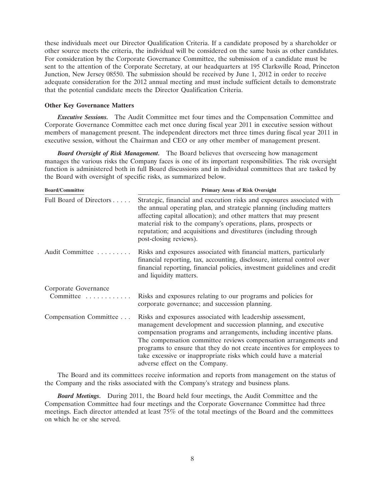these individuals meet our Director Qualification Criteria. If a candidate proposed by a shareholder or other source meets the criteria, the individual will be considered on the same basis as other candidates. For consideration by the Corporate Governance Committee, the submission of a candidate must be sent to the attention of the Corporate Secretary, at our headquarters at 195 Clarksville Road, Princeton Junction, New Jersey 08550. The submission should be received by June 1, 2012 in order to receive adequate consideration for the 2012 annual meeting and must include sufficient details to demonstrate that the potential candidate meets the Director Qualification Criteria.

### **Other Key Governance Matters**

*Executive Sessions.* The Audit Committee met four times and the Compensation Committee and Corporate Governance Committee each met once during fiscal year 2011 in executive session without members of management present. The independent directors met three times during fiscal year 2011 in executive session, without the Chairman and CEO or any other member of management present.

*Board Oversight of Risk Management.* The Board believes that overseeing how management manages the various risks the Company faces is one of its important responsibilities. The risk oversight function is administered both in full Board discussions and in individual committees that are tasked by the Board with oversight of specific risks, as summarized below.

| <b>Board/Committee</b>            | <b>Primary Areas of Risk Oversight</b>                                                                                                                                                                                                                                                                                                                                                                                                                 |  |  |  |  |
|-----------------------------------|--------------------------------------------------------------------------------------------------------------------------------------------------------------------------------------------------------------------------------------------------------------------------------------------------------------------------------------------------------------------------------------------------------------------------------------------------------|--|--|--|--|
| Full Board of Directors           | Strategic, financial and execution risks and exposures associated with<br>the annual operating plan, and strategic planning (including matters<br>affecting capital allocation); and other matters that may present<br>material risk to the company's operations, plans, prospects or<br>reputation; and acquisitions and divestitures (including through<br>post-closing reviews).                                                                    |  |  |  |  |
| Audit Committee                   | Risks and exposures associated with financial matters, particularly<br>financial reporting, tax, accounting, disclosure, internal control over<br>financial reporting, financial policies, investment guidelines and credit<br>and liquidity matters.                                                                                                                                                                                                  |  |  |  |  |
| Corporate Governance<br>Committee | Risks and exposures relating to our programs and policies for<br>corporate governance; and succession planning.                                                                                                                                                                                                                                                                                                                                        |  |  |  |  |
| Compensation Committee            | Risks and exposures associated with leadership assessment,<br>management development and succession planning, and executive<br>compensation programs and arrangements, including incentive plans.<br>The compensation committee reviews compensation arrangements and<br>programs to ensure that they do not create incentives for employees to<br>take excessive or inappropriate risks which could have a material<br>adverse effect on the Company. |  |  |  |  |

The Board and its committees receive information and reports from management on the status of the Company and the risks associated with the Company's strategy and business plans.

*Board Meetings.* During 2011, the Board held four meetings, the Audit Committee and the Compensation Committee had four meetings and the Corporate Governance Committee had three meetings. Each director attended at least 75% of the total meetings of the Board and the committees on which he or she served.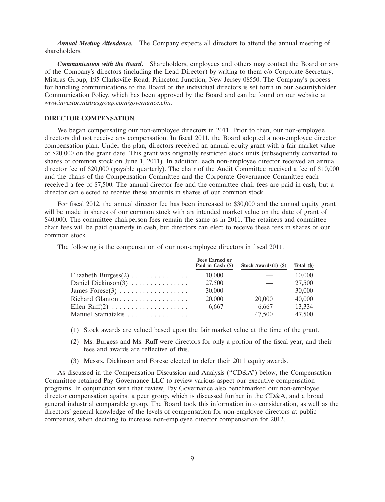*Annual Meeting Attendance.* The Company expects all directors to attend the annual meeting of shareholders.

*Communication with the Board.* Shareholders, employees and others may contact the Board or any of the Company's directors (including the Lead Director) by writing to them c/o Corporate Secretary, Mistras Group, 195 Clarksville Road, Princeton Junction, New Jersey 08550. The Company's process for handling communications to the Board or the individual directors is set forth in our Securityholder Communication Policy, which has been approved by the Board and can be found on our website at *www.investor.mistrasgroup.com/governance.cfm.*

# **DIRECTOR COMPENSATION**

We began compensating our non-employee directors in 2011. Prior to then, our non-employee directors did not receive any compensation. In fiscal 2011, the Board adopted a non-employee director compensation plan. Under the plan, directors received an annual equity grant with a fair market value of \$20,000 on the grant date. This grant was originally restricted stock units (subsequently converted to shares of common stock on June 1, 2011). In addition, each non-employee director received an annual director fee of \$20,000 (payable quarterly). The chair of the Audit Committee received a fee of \$10,000 and the chairs of the Compensation Committee and the Corporate Governance Committee each received a fee of \$7,500. The annual director fee and the committee chair fees are paid in cash, but a director can elected to receive these amounts in shares of our common stock.

For fiscal 2012, the annual director fee has been increased to \$30,000 and the annual equity grant will be made in shares of our common stock with an intended market value on the date of grant of \$40,000. The committee chairperson fees remain the same as in 2011. The retainers and committee chair fees will be paid quarterly in cash, but directors can elect to receive these fees in shares of our common stock.

The following is the compensation of our non-employee directors in fiscal 2011.

|                                               | <b>Fees Earned or</b><br>Paid in Cash (\$) | Stock Awards $(1)$ $($ \$) | Total $(\$)$ |
|-----------------------------------------------|--------------------------------------------|----------------------------|--------------|
| Elizabeth Burgess $(2)$                       | 10,000                                     |                            | 10,000       |
| Daniel Dickinson(3) $\dots \dots \dots \dots$ | 27,500                                     |                            | 27,500       |
|                                               | 30,000                                     |                            | 30,000       |
|                                               | 20,000                                     | 20,000                     | 40,000       |
|                                               | 6,667                                      | 6.667                      | 13,334       |
| Manuel Stamatakis                             |                                            | 47,500                     | 47,500       |

(1) Stock awards are valued based upon the fair market value at the time of the grant.

- (2) Ms. Burgess and Ms. Ruff were directors for only a portion of the fiscal year, and their fees and awards are reflective of this.
- (3) Messrs. Dickinson and Forese elected to defer their 2011 equity awards.

As discussed in the Compensation Discussion and Analysis (''CD&A'') below, the Compensation Committee retained Pay Governance LLC to review various aspect our executive compensation programs. In conjunction with that review, Pay Governance also benchmarked our non-employee director compensation against a peer group, which is discussed further in the CD&A, and a broad general industrial comparable group. The Board took this information into consideration, as well as the directors' general knowledge of the levels of compensation for non-employee directors at public companies, when deciding to increase non-employee director compensation for 2012.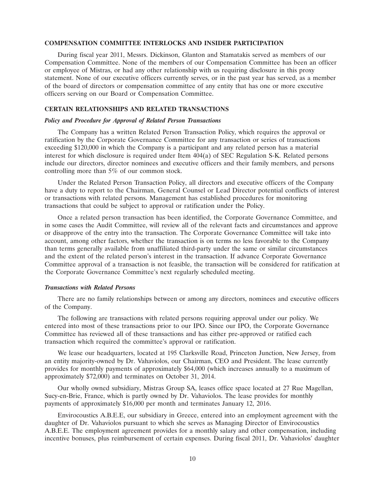# **COMPENSATION COMMITTEE INTERLOCKS AND INSIDER PARTICIPATION**

During fiscal year 2011, Messrs. Dickinson, Glanton and Stamatakis served as members of our Compensation Committee. None of the members of our Compensation Committee has been an officer or employee of Mistras, or had any other relationship with us requiring disclosure in this proxy statement. None of our executive officers currently serves, or in the past year has served, as a member of the board of directors or compensation committee of any entity that has one or more executive officers serving on our Board or Compensation Committee.

# **CERTAIN RELATIONSHIPS AND RELATED TRANSACTIONS**

# *Policy and Procedure for Approval of Related Person Transactions*

The Company has a written Related Person Transaction Policy, which requires the approval or ratification by the Corporate Governance Committee for any transaction or series of transactions exceeding \$120,000 in which the Company is a participant and any related person has a material interest for which disclosure is required under Item 404(a) of SEC Regulation S-K. Related persons include our directors, director nominees and executive officers and their family members, and persons controlling more than 5% of our common stock.

Under the Related Person Transaction Policy, all directors and executive officers of the Company have a duty to report to the Chairman, General Counsel or Lead Director potential conflicts of interest or transactions with related persons. Management has established procedures for monitoring transactions that could be subject to approval or ratification under the Policy.

Once a related person transaction has been identified, the Corporate Governance Committee, and in some cases the Audit Committee, will review all of the relevant facts and circumstances and approve or disapprove of the entry into the transaction. The Corporate Governance Committee will take into account, among other factors, whether the transaction is on terms no less favorable to the Company than terms generally available from unaffiliated third-party under the same or similar circumstances and the extent of the related person's interest in the transaction. If advance Corporate Governance Committee approval of a transaction is not feasible, the transaction will be considered for ratification at the Corporate Governance Committee's next regularly scheduled meeting.

## *Transactions with Related Persons*

There are no family relationships between or among any directors, nominees and executive officers of the Company.

The following are transactions with related persons requiring approval under our policy. We entered into most of these transactions prior to our IPO. Since our IPO, the Corporate Governance Committee has reviewed all of these transactions and has either pre-approved or ratified each transaction which required the committee's approval or ratification.

We lease our headquarters, located at 195 Clarksville Road, Princeton Junction, New Jersey, from an entity majority-owned by Dr. Vahaviolos, our Chairman, CEO and President. The lease currently provides for monthly payments of approximately \$64,000 (which increases annually to a maximum of approximately \$72,000) and terminates on October 31, 2014.

Our wholly owned subsidiary, Mistras Group SA, leases office space located at 27 Rue Magellan, Sucy-en-Brie, France, which is partly owned by Dr. Vahaviolos. The lease provides for monthly payments of approximately \$16,000 per month and terminates January 12, 2016.

Envirocoustics A.B.E.E, our subsidiary in Greece, entered into an employment agreement with the daughter of Dr. Vahaviolos pursuant to which she serves as Managing Director of Envirocoustics A.B.E.E. The employment agreement provides for a monthly salary and other compensation, including incentive bonuses, plus reimbursement of certain expenses. During fiscal 2011, Dr. Vahaviolos' daughter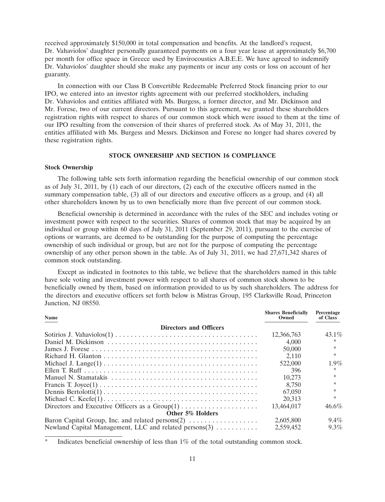received approximately \$150,000 in total compensation and benefits. At the landlord's request, Dr. Vahaviolos' daughter personally guaranteed payments on a four year lease at approximately \$6,700 per month for office space in Greece used by Envirocoustics A.B.E.E. We have agreed to indemnify Dr. Vahaviolos' daughter should she make any payments or incur any costs or loss on account of her guaranty.

In connection with our Class B Convertible Redeemable Preferred Stock financing prior to our IPO, we entered into an investor rights agreement with our preferred stockholders, including Dr. Vahaviolos and entities affiliated with Ms. Burgess, a former director, and Mr. Dickinson and Mr. Forese, two of our current directors. Pursuant to this agreement, we granted these shareholders registration rights with respect to shares of our common stock which were issued to them at the time of our IPO resulting from the conversion of their shares of preferred stock. As of May 31, 2011, the entities affiliated with Ms. Burgess and Messrs. Dickinson and Forese no longer had shares covered by these registration rights.

# **STOCK OWNERSHIP AND SECTION 16 COMPLIANCE**

# **Stock Ownership**

The following table sets forth information regarding the beneficial ownership of our common stock as of July 31, 2011, by (1) each of our directors, (2) each of the executive officers named in the summary compensation table, (3) all of our directors and executive officers as a group, and (4) all other shareholders known by us to own beneficially more than five percent of our common stock.

Beneficial ownership is determined in accordance with the rules of the SEC and includes voting or investment power with respect to the securities. Shares of common stock that may be acquired by an individual or group within 60 days of July 31, 2011 (September 29, 2011), pursuant to the exercise of options or warrants, are deemed to be outstanding for the purpose of computing the percentage ownership of such individual or group, but are not for the purpose of computing the percentage ownership of any other person shown in the table. As of July 31, 2011, we had 27,671,342 shares of common stock outstanding.

Except as indicated in footnotes to this table, we believe that the shareholders named in this table have sole voting and investment power with respect to all shares of common stock shown to be beneficially owned by them, based on information provided to us by such shareholders. The address for the directors and executive officers set forth below is Mistras Group, 195 Clarksville Road, Princeton Junction, NJ 08550.

| <b>Name</b>                                            | <b>Shares Beneficially</b><br>Owned | Percentage<br>of Class |
|--------------------------------------------------------|-------------------------------------|------------------------|
| <b>Directors and Officers</b>                          |                                     |                        |
|                                                        | 12,366,763                          | $43.1\%$               |
|                                                        | 4,000                               |                        |
|                                                        | 50,000                              |                        |
|                                                        | 2.110                               |                        |
|                                                        | 522,000                             | $1.9\%$                |
|                                                        | 396                                 | *.                     |
|                                                        | 10.273                              |                        |
|                                                        | 8.750                               |                        |
|                                                        | 67,050                              |                        |
|                                                        | 20.313                              |                        |
|                                                        | 13.464,017                          | $46.6\%$               |
| Other 5% Holders                                       |                                     |                        |
| Baron Capital Group, Inc. and related persons(2)       | 2,605,800                           | 9.4%                   |
| Newland Capital Management, LLC and related persons(3) | 2,559,452                           | $9.3\%$                |

Indicates beneficial ownership of less than  $1\%$  of the total outstanding common stock.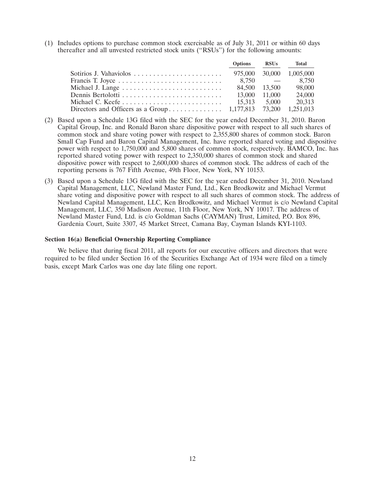(1) Includes options to purchase common stock exercisable as of July 31, 2011 or within 60 days thereafter and all unvested restricted stock units (''RSUs'') for the following amounts:

|                                                                                                  | Options RSUs |               | Total                    |
|--------------------------------------------------------------------------------------------------|--------------|---------------|--------------------------|
|                                                                                                  |              |               | 975,000 30,000 1,005,000 |
|                                                                                                  |              |               |                          |
|                                                                                                  |              | 84.500 13.500 | 98,000                   |
| Dennis Bertolotti $\ldots \ldots \ldots \ldots \ldots \ldots \ldots \ldots \ldots$ 13.000 11.000 |              |               | 24,000                   |
|                                                                                                  |              |               | 20,313                   |
|                                                                                                  |              |               |                          |
|                                                                                                  |              |               |                          |

- (2) Based upon a Schedule 13G filed with the SEC for the year ended December 31, 2010. Baron Capital Group, Inc. and Ronald Baron share dispositive power with respect to all such shares of common stock and share voting power with respect to 2,355,800 shares of common stock. Baron Small Cap Fund and Baron Capital Management, Inc. have reported shared voting and dispositive power with respect to 1,750,000 and 5,800 shares of common stock, respectively. BAMCO, Inc. has reported shared voting power with respect to 2,350,000 shares of common stock and shared dispositive power with respect to 2,600,000 shares of common stock. The address of each of the reporting persons is 767 Fifth Avenue, 49th Floor, New York, NY 10153.
- (3) Based upon a Schedule 13G filed with the SEC for the year ended December 31, 2010. Newland Capital Management, LLC, Newland Master Fund, Ltd., Ken Brodkowitz and Michael Vermut share voting and dispositive power with respect to all such shares of common stock. The address of Newland Capital Management, LLC, Ken Brodkowitz, and Michael Vermut is c/o Newland Capital Management, LLC, 350 Madison Avenue, 11th Floor, New York, NY 10017. The address of Newland Master Fund, Ltd. is c/o Goldman Sachs (CAYMAN) Trust, Limited, P.O. Box 896, Gardenia Court, Suite 3307, 45 Market Street, Camana Bay, Cayman Islands KYI-1103.

# **Section 16(a) Beneficial Ownership Reporting Compliance**

We believe that during fiscal 2011, all reports for our executive officers and directors that were required to be filed under Section 16 of the Securities Exchange Act of 1934 were filed on a timely basis, except Mark Carlos was one day late filing one report.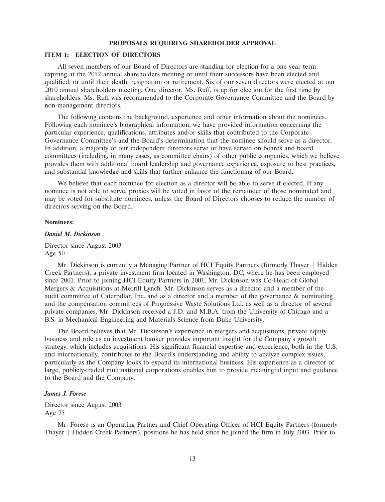### **PROPOSALS REQUIRING SHAREHOLDER APPROVAL**

## **ITEM 1: ELECTION OF DIRECTORS**

All seven members of our Board of Directors are standing for election for a one-year term expiring at the 2012 annual shareholders meeting or until their successors have been elected and qualified, or until their death, resignation or retirement. Six of our seven directors were elected at our 2010 annual shareholders meeting. One director, Ms. Ruff, is up for election for the first time by shareholders. Ms. Ruff was recommended to the Corporate Governance Committee and the Board by non-management directors.

The following contains the background, experience and other information about the nominees. Following each nominee's biographical information, we have provided information concerning the particular experience, qualifications, attributes and/or skills that contributed to the Corporate Governance Committee's and the Board's determination that the nominee should serve as a director. In addition, a majority of our independent directors serve or have served on boards and board committees (including, in many cases, as committee chairs) of other public companies, which we believe provides them with additional board leadership and governance experience, exposure to best practices, and substantial knowledge and skills that further enhance the functioning of our Board.

We believe that each nominee for election as a director will be able to serve if elected. If any nominee is not able to serve, proxies will be voted in favor of the remainder of those nominated and may be voted for substitute nominees, unless the Board of Directors chooses to reduce the number of directors serving on the Board.

#### **Nominees:**

# *Daniel M. Dickinson*

Director since August 2003 Age 50

Mr. Dickinson is currently a Managing Partner of HCI Equity Partners (formerly Thayer | Hidden Creek Partners), a private investment firm located in Washington, DC, where he has been employed since 2001. Prior to joining HCI Equity Partners in 2001, Mr. Dickinson was Co-Head of Global Mergers & Acquisitions at Merrill Lynch. Mr. Dickinson serves as a director and a member of the audit committee of Caterpillar, Inc. and as a director and a member of the governance  $\&$  nominating and the compensation committees of Progressive Waste Solutions Ltd. as well as a director of several private companies. Mr. Dickinson received a J.D. and M.B.A. from the University of Chicago and a B.S. in Mechanical Engineering and Materials Science from Duke University.

The Board believes that Mr. Dickinson's experience in mergers and acquisitions, private equity business and role as an investment banker provides important insight for the Company's growth strategy, which includes acquisitions. His significant financial expertise and experience, both in the U.S. and internationally, contributes to the Board's understanding and ability to analyze complex issues, particularly as the Company looks to expand its international business. His experience as a director of large, publicly-traded multinational corporations enables him to provide meaningful input and guidance to the Board and the Company.

### *James J. Forese*

Director since August 2003 Age 75

Mr. Forese is an Operating Partner and Chief Operating Officer of HCI Equity Partners (formerly Thayer | Hidden Creek Partners), positions he has held since he joined the firm in July 2003. Prior to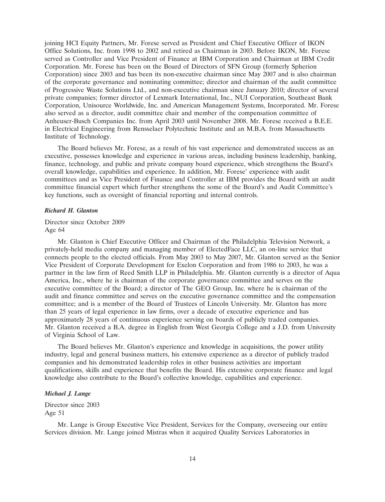joining HCI Equity Partners, Mr. Forese served as President and Chief Executive Officer of IKON Office Solutions, Inc. from 1998 to 2002 and retired as Chairman in 2003. Before IKON, Mr. Forese served as Controller and Vice President of Finance at IBM Corporation and Chairman at IBM Credit Corporation. Mr. Forese has been on the Board of Directors of SFN Group (formerly Spherion Corporation) since 2003 and has been its non-executive chairman since May 2007 and is also chairman of the corporate governance and nominating committee; director and chairman of the audit committee of Progressive Waste Solutions Ltd., and non-executive chairman since January 2010; director of several private companies; former director of Lexmark International, Inc., NUI Corporation, Southeast Bank Corporation, Unisource Worldwide, Inc. and American Management Systems, Incorporated. Mr. Forese also served as a director, audit committee chair and member of the compensation committee of Anheuser-Busch Companies Inc. from April 2003 until November 2008. Mr. Forese received a B.E.E. in Electrical Engineering from Rensselaer Polytechnic Institute and an M.B.A. from Massachusetts Institute of Technology.

The Board believes Mr. Forese, as a result of his vast experience and demonstrated success as an executive, possesses knowledge and experience in various areas, including business leadership, banking, finance, technology, and public and private company board experience, which strengthens the Board's overall knowledge, capabilities and experience. In addition, Mr. Forese' experience with audit committees and as Vice President of Finance and Controller at IBM provides the Board with an audit committee financial expert which further strengthens the some of the Board's and Audit Committee's key functions, such as oversight of financial reporting and internal controls.

### *Richard H. Glanton*

Director since October 2009 Age 64

Mr. Glanton is Chief Executive Officer and Chairman of the Philadelphia Television Network, a privately-held media company and managing member of ElectedFace LLC, an on-line service that connects people to the elected officials. From May 2003 to May 2007, Mr. Glanton served as the Senior Vice President of Corporate Development for Exelon Corporation and from 1986 to 2003, he was a partner in the law firm of Reed Smith LLP in Philadelphia. Mr. Glanton currently is a director of Aqua America, Inc., where he is chairman of the corporate governance committee and serves on the executive committee of the Board; a director of The GEO Group, Inc. where he is chairman of the audit and finance committee and serves on the executive governance committee and the compensation committee; and is a member of the Board of Trustees of Lincoln University. Mr. Glanton has more than 25 years of legal experience in law firms, over a decade of executive experience and has approximately 28 years of continuous experience serving on boards of publicly traded companies. Mr. Glanton received a B.A. degree in English from West Georgia College and a J.D. from University of Virginia School of Law.

The Board believes Mr. Glanton's experience and knowledge in acquisitions, the power utility industry, legal and general business matters, his extensive experience as a director of publicly traded companies and his demonstrated leadership roles in other business activities are important qualifications, skills and experience that benefits the Board. His extensive corporate finance and legal knowledge also contribute to the Board's collective knowledge, capabilities and experience.

# *Michael J. Lange*

Director since 2003 Age 51

Mr. Lange is Group Executive Vice President, Services for the Company, overseeing our entire Services division. Mr. Lange joined Mistras when it acquired Quality Services Laboratories in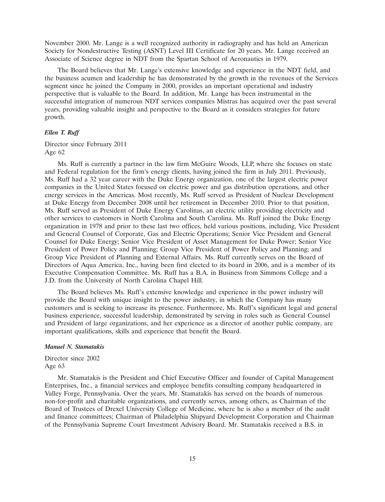November 2000. Mr. Lange is a well recognized authority in radiography and has held an American Society for Nondestructive Testing (ASNT) Level III Certificate for 20 years. Mr. Lange received an Associate of Science degree in NDT from the Spartan School of Aeronautics in 1979.

The Board believes that Mr. Lange's extensive knowledge and experience in the NDT field, and the business acumen and leadership he has demonstrated by the growth in the revenues of the Services segment since he joined the Company in 2000, provides an important operational and industry perspective that is valuable to the Board. In addition, Mr. Lange has been instrumental in the successful integration of numerous NDT services companies Mistras has acquired over the past several years, providing valuable insight and perspective to the Board as it considers strategies for future growth.

# *Ellen T. Ruff*

Director since February 2011 Age 62

Ms. Ruff is currently a partner in the law firm McGuire Woods, LLP, where she focuses on state and Federal regulation for the firm's energy clients, having joined the firm in July 2011. Previously, Ms. Ruff had a 32 year career with the Duke Energy organization, one of the largest electric power companies in the United States focused on electric power and gas distribution operations, and other energy services in the Americas. Most recently, Ms. Ruff served as President of Nuclear Development at Duke Energy from December 2008 until her retirement in December 2010. Prior to that position, Ms. Ruff served as President of Duke Energy Carolinas, an electric utility providing electricity and other services to customers in North Carolina and South Carolina. Ms. Ruff joined the Duke Energy organization in 1978 and prior to these last two offices, held various positions, including, Vice President and General Counsel of Corporate, Gas and Electric Operations; Senior Vice President and General Counsel for Duke Energy; Senior Vice President of Asset Management for Duke Power; Senior Vice President of Power Policy and Planning; Group Vice President of Power Policy and Planning; and Group Vice President of Planning and External Affairs. Ms. Ruff currently serves on the Board of Directors of Aqua America, Inc., having been first elected to its board in 2006, and is a member of its Executive Compensation Committee. Ms. Ruff has a B.A. in Business from Simmons College and a J.D. from the University of North Carolina Chapel Hill.

The Board believes Ms. Ruff's extensive knowledge and experience in the power industry will provide the Board with unique insight to the power industry, in which the Company has many customers and is seeking to increase its presence. Furthermore, Ms. Ruff's significant legal and general business experience, successful leadership, demonstrated by serving in roles such as General Counsel and President of large organizations, and her experience as a director of another public company, are important qualifications, skills and experience that benefit the Board.

# *Manuel N. Stamatakis*

Director since 2002 Age 63

Mr. Stamatakis is the President and Chief Executive Officer and founder of Capital Management Enterprises, Inc., a financial services and employee benefits consulting company headquartered in Valley Forge, Pennsylvania. Over the years, Mr. Stamatakis has served on the boards of numerous non-for-profit and charitable organizations, and currently serves, among others, as Chairman of the Board of Trustees of Drexel University College of Medicine, where he is also a member of the audit and finance committees; Chairman of Philadelphia Shipyard Development Corporation and Chairman of the Pennsylvania Supreme Court Investment Advisory Board. Mr. Stamatakis received a B.S. in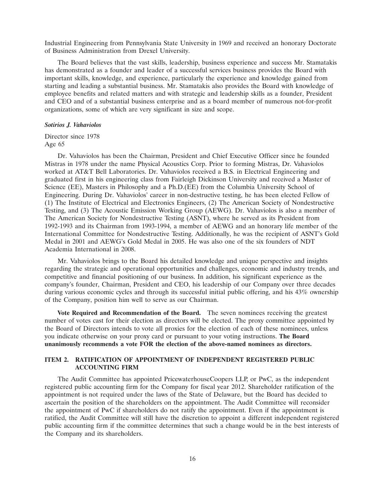Industrial Engineering from Pennsylvania State University in 1969 and received an honorary Doctorate of Business Administration from Drexel University.

The Board believes that the vast skills, leadership, business experience and success Mr. Stamatakis has demonstrated as a founder and leader of a successful services business provides the Board with important skills, knowledge, and experience, particularly the experience and knowledge gained from starting and leading a substantial business. Mr. Stamatakis also provides the Board with knowledge of employee benefits and related matters and with strategic and leadership skills as a founder, President and CEO and of a substantial business enterprise and as a board member of numerous not-for-profit organizations, some of which are very significant in size and scope.

#### *Sotirios J. Vahaviolos*

Director since 1978 Age 65

Dr. Vahaviolos has been the Chairman, President and Chief Executive Officer since he founded Mistras in 1978 under the name Physical Acoustics Corp. Prior to forming Mistras, Dr. Vahaviolos worked at AT&T Bell Laboratories. Dr. Vahaviolos received a B.S. in Electrical Engineering and graduated first in his engineering class from Fairleigh Dickinson University and received a Master of Science (EE), Masters in Philosophy and a Ph.D.(EE) from the Columbia University School of Engineering. During Dr. Vahaviolos' career in non-destructive testing, he has been elected Fellow of (1) The Institute of Electrical and Electronics Engineers, (2) The American Society of Nondestructive Testing, and (3) The Acoustic Emission Working Group (AEWG). Dr. Vahaviolos is also a member of The American Society for Nondestructive Testing (ASNT), where he served as its President from 1992-1993 and its Chairman from 1993-1994, a member of AEWG and an honorary life member of the International Committee for Nondestructive Testing. Additionally, he was the recipient of ASNT's Gold Medal in 2001 and AEWG's Gold Medal in 2005. He was also one of the six founders of NDT Academia International in 2008.

Mr. Vahaviolos brings to the Board his detailed knowledge and unique perspective and insights regarding the strategic and operational opportunities and challenges, economic and industry trends, and competitive and financial positioning of our business. In addition, his significant experience as the company's founder, Chairman, President and CEO, his leadership of our Company over three decades during various economic cycles and through its successful initial public offering, and his 43% ownership of the Company, position him well to serve as our Chairman.

**Vote Required and Recommendation of the Board.** The seven nominees receiving the greatest number of votes cast for their election as directors will be elected. The proxy committee appointed by the Board of Directors intends to vote all proxies for the election of each of these nominees, unless you indicate otherwise on your proxy card or pursuant to your voting instructions. **The Board unanimously recommends a vote FOR the election of the above-named nominees as directors.**

# **ITEM 2. RATIFICATION OF APPOINTMENT OF INDEPENDENT REGISTERED PUBLIC ACCOUNTING FIRM**

The Audit Committee has appointed PricewaterhouseCoopers LLP, or PwC, as the independent registered public accounting firm for the Company for fiscal year 2012. Shareholder ratification of the appointment is not required under the laws of the State of Delaware, but the Board has decided to ascertain the position of the shareholders on the appointment. The Audit Committee will reconsider the appointment of PwC if shareholders do not ratify the appointment. Even if the appointment is ratified, the Audit Committee will still have the discretion to appoint a different independent registered public accounting firm if the committee determines that such a change would be in the best interests of the Company and its shareholders.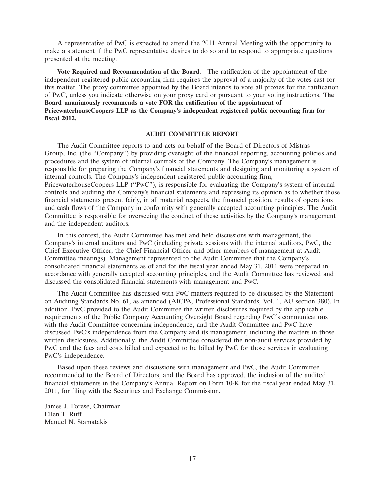A representative of PwC is expected to attend the 2011 Annual Meeting with the opportunity to make a statement if the PwC representative desires to do so and to respond to appropriate questions presented at the meeting.

**Vote Required and Recommendation of the Board.** The ratification of the appointment of the independent registered public accounting firm requires the approval of a majority of the votes cast for this matter. The proxy committee appointed by the Board intends to vote all proxies for the ratification of PwC, unless you indicate otherwise on your proxy card or pursuant to your voting instructions. **The Board unanimously recommends a vote FOR the ratification of the appointment of PricewaterhouseCoopers LLP as the Company's independent registered public accounting firm for fiscal 2012.**

### **AUDIT COMMITTEE REPORT**

The Audit Committee reports to and acts on behalf of the Board of Directors of Mistras Group, Inc. (the ''Company'') by providing oversight of the financial reporting, accounting policies and procedures and the system of internal controls of the Company. The Company's management is responsible for preparing the Company's financial statements and designing and monitoring a system of internal controls. The Company's independent registered public accounting firm, PricewaterhouseCoopers LLP ("PwC"), is responsible for evaluating the Company's system of internal controls and auditing the Company's financial statements and expressing its opinion as to whether those financial statements present fairly, in all material respects, the financial position, results of operations and cash flows of the Company in conformity with generally accepted accounting principles. The Audit Committee is responsible for overseeing the conduct of these activities by the Company's management and the independent auditors.

In this context, the Audit Committee has met and held discussions with management, the Company's internal auditors and PwC (including private sessions with the internal auditors, PwC, the Chief Executive Officer, the Chief Financial Officer and other members of management at Audit Committee meetings). Management represented to the Audit Committee that the Company's consolidated financial statements as of and for the fiscal year ended May 31, 2011 were prepared in accordance with generally accepted accounting principles, and the Audit Committee has reviewed and discussed the consolidated financial statements with management and PwC.

The Audit Committee has discussed with PwC matters required to be discussed by the Statement on Auditing Standards No. 61, as amended (AICPA, Professional Standards, Vol. 1, AU section 380). In addition, PwC provided to the Audit Committee the written disclosures required by the applicable requirements of the Public Company Accounting Oversight Board regarding PwC's communications with the Audit Committee concerning independence, and the Audit Committee and PwC have discussed PwC's independence from the Company and its management, including the matters in those written disclosures. Additionally, the Audit Committee considered the non-audit services provided by PwC and the fees and costs billed and expected to be billed by PwC for those services in evaluating PwC's independence.

Based upon these reviews and discussions with management and PwC, the Audit Committee recommended to the Board of Directors, and the Board has approved, the inclusion of the audited financial statements in the Company's Annual Report on Form 10-K for the fiscal year ended May 31, 2011, for filing with the Securities and Exchange Commission.

James J. Forese, Chairman Ellen T. Ruff Manuel N. Stamatakis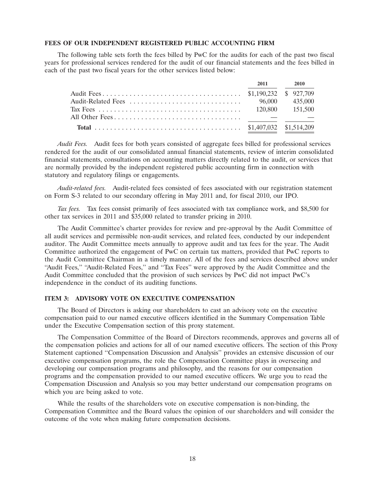# **FEES OF OUR INDEPENDENT REGISTERED PUBLIC ACCOUNTING FIRM**

The following table sets forth the fees billed by PwC for the audits for each of the past two fiscal years for professional services rendered for the audit of our financial statements and the fees billed in each of the past two fiscal years for the other services listed below:

|  | 2011 2010 |
|--|-----------|
|  |           |
|  |           |
|  |           |
|  |           |
|  |           |

*Audit Fees.* Audit fees for both years consisted of aggregate fees billed for professional services rendered for the audit of our consolidated annual financial statements, review of interim consolidated financial statements, consultations on accounting matters directly related to the audit, or services that are normally provided by the independent registered public accounting firm in connection with statutory and regulatory filings or engagements.

*Audit-related fees.* Audit-related fees consisted of fees associated with our registration statement on Form S-3 related to our secondary offering in May 2011 and, for fiscal 2010, our IPO.

*Tax fees.* Tax fees consist primarily of fees associated with tax compliance work, and \$8,500 for other tax services in 2011 and \$35,000 related to transfer pricing in 2010.

The Audit Committee's charter provides for review and pre-approval by the Audit Committee of all audit services and permissible non-audit services, and related fees, conducted by our independent auditor. The Audit Committee meets annually to approve audit and tax fees for the year. The Audit Committee authorized the engagement of PwC on certain tax matters, provided that PwC reports to the Audit Committee Chairman in a timely manner. All of the fees and services described above under "Audit Fees," "Audit-Related Fees," and "Tax Fees" were approved by the Audit Committee and the Audit Committee concluded that the provision of such services by PwC did not impact PwC's independence in the conduct of its auditing functions.

#### **ITEM 3: ADVISORY VOTE ON EXECUTIVE COMPENSATION**

The Board of Directors is asking our shareholders to cast an advisory vote on the executive compensation paid to our named executive officers identified in the Summary Compensation Table under the Executive Compensation section of this proxy statement.

The Compensation Committee of the Board of Directors recommends, approves and governs all of the compensation policies and actions for all of our named executive officers. The section of this Proxy Statement captioned ''Compensation Discussion and Analysis'' provides an extensive discussion of our executive compensation programs, the role the Compensation Committee plays in overseeing and developing our compensation programs and philosophy, and the reasons for our compensation programs and the compensation provided to our named executive officers. We urge you to read the Compensation Discussion and Analysis so you may better understand our compensation programs on which you are being asked to vote.

While the results of the shareholders vote on executive compensation is non-binding, the Compensation Committee and the Board values the opinion of our shareholders and will consider the outcome of the vote when making future compensation decisions.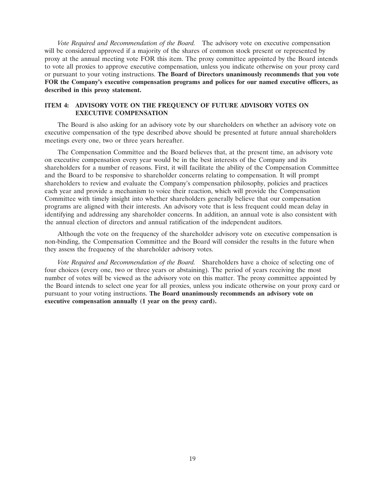*Vote Required and Recommendation of the Board.* The advisory vote on executive compensation will be considered approved if a majority of the shares of common stock present or represented by proxy at the annual meeting vote FOR this item. The proxy committee appointed by the Board intends to vote all proxies to approve executive compensation, unless you indicate otherwise on your proxy card or pursuant to your voting instructions. **The Board of Directors unanimously recommends that you vote FOR the Company's executive compensation programs and polices for our named executive officers, as described in this proxy statement.**

# **ITEM 4: ADVISORY VOTE ON THE FREQUENCY OF FUTURE ADVISORY VOTES ON EXECUTIVE COMPENSATION**

The Board is also asking for an advisory vote by our shareholders on whether an advisory vote on executive compensation of the type described above should be presented at future annual shareholders meetings every one, two or three years hereafter.

The Compensation Committee and the Board believes that, at the present time, an advisory vote on executive compensation every year would be in the best interests of the Company and its shareholders for a number of reasons. First, it will facilitate the ability of the Compensation Committee and the Board to be responsive to shareholder concerns relating to compensation. It will prompt shareholders to review and evaluate the Company's compensation philosophy, policies and practices each year and provide a mechanism to voice their reaction, which will provide the Compensation Committee with timely insight into whether shareholders generally believe that our compensation programs are aligned with their interests. An advisory vote that is less frequent could mean delay in identifying and addressing any shareholder concerns. In addition, an annual vote is also consistent with the annual election of directors and annual ratification of the independent auditors.

Although the vote on the frequency of the shareholder advisory vote on executive compensation is non-binding, the Compensation Committee and the Board will consider the results in the future when they assess the frequency of the shareholder advisory votes.

*Vote Required and Recommendation of the Board.* Shareholders have a choice of selecting one of four choices (every one, two or three years or abstaining). The period of years receiving the most number of votes will be viewed as the advisory vote on this matter. The proxy committee appointed by the Board intends to select one year for all proxies, unless you indicate otherwise on your proxy card or pursuant to your voting instructions. **The Board unanimously recommends an advisory vote on executive compensation annually (1 year on the proxy card).**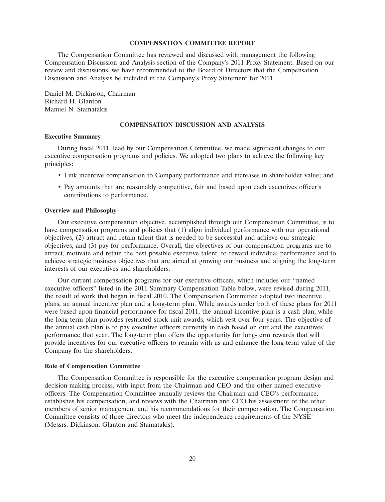#### **COMPENSATION COMMITTEE REPORT**

The Compensation Committee has reviewed and discussed with management the following Compensation Discussion and Analysis section of the Company's 2011 Proxy Statement. Based on our review and discussions, we have recommended to the Board of Directors that the Compensation Discussion and Analysis be included in the Company's Proxy Statement for 2011.

Daniel M. Dickinson, Chairman Richard H. Glanton Manuel N. Stamatakis

### **COMPENSATION DISCUSSION AND ANALYSIS**

# **Executive Summary**

During fiscal 2011, lead by our Compensation Committee, we made significant changes to our executive compensation programs and policies. We adopted two plans to achieve the following key principles:

- Link incentive compensation to Company performance and increases in shareholder value; and
- Pay amounts that are reasonably competitive, fair and based upon each executives officer's contributions to performance.

### **Overview and Philosophy**

Our executive compensation objective, accomplished through our Compensation Committee, is to have compensation programs and policies that (1) align individual performance with our operational objectives, (2) attract and retain talent that is needed to be successful and achieve our strategic objectives, and (3) pay for performance. Overall, the objectives of our compensation programs are to attract, motivate and retain the best possible executive talent, to reward individual performance and to achieve strategic business objectives that are aimed at growing our business and aligning the long-term interests of our executives and shareholders.

Our current compensation programs for our executive officers, which includes our ''named executive officers'' listed in the 2011 Summary Compensation Table below, were revised during 2011, the result of work that began in fiscal 2010. The Compensation Committee adopted two incentive plans, an annual incentive plan and a long-term plan. While awards under both of these plans for 2011 were based upon financial performance for fiscal 2011, the annual incentive plan is a cash plan, while the long-term plan provides restricted stock unit awards, which vest over four years. The objective of the annual cash plan is to pay executive officers currently in cash based on our and the executives' performance that year. The long-term plan offers the opportunity for long-term rewards that will provide incentives for our executive officers to remain with us and enhance the long-term value of the Company for the shareholders.

### **Role of Compensation Committee**

The Compensation Committee is responsible for the executive compensation program design and decision-making process, with input from the Chairman and CEO and the other named executive officers. The Compensation Committee annually reviews the Chairman and CEO's performance, establishes his compensation, and reviews with the Chairman and CEO his assessment of the other members of senior management and his recommendations for their compensation. The Compensation Committee consists of three directors who meet the independence requirements of the NYSE (Messrs. Dickinson, Glanton and Stamatakis).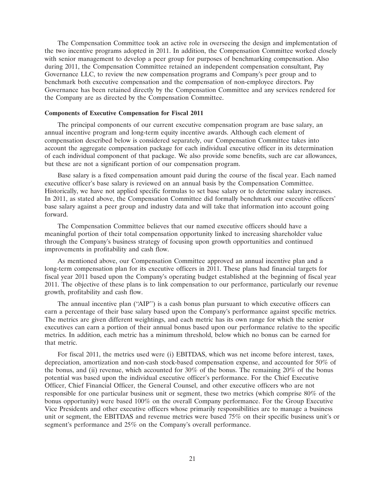The Compensation Committee took an active role in overseeing the design and implementation of the two incentive programs adopted in 2011. In addition, the Compensation Committee worked closely with senior management to develop a peer group for purposes of benchmarking compensation. Also during 2011, the Compensation Committee retained an independent compensation consultant, Pay Governance LLC, to review the new compensation programs and Company's peer group and to benchmark both executive compensation and the compensation of non-employee directors. Pay Governance has been retained directly by the Compensation Committee and any services rendered for the Company are as directed by the Compensation Committee.

### **Components of Executive Compensation for Fiscal 2011**

The principal components of our current executive compensation program are base salary, an annual incentive program and long-term equity incentive awards. Although each element of compensation described below is considered separately, our Compensation Committee takes into account the aggregate compensation package for each individual executive officer in its determination of each individual component of that package. We also provide some benefits, such are car allowances, but these are not a significant portion of our compensation program.

Base salary is a fixed compensation amount paid during the course of the fiscal year. Each named executive officer's base salary is reviewed on an annual basis by the Compensation Committee. Historically, we have not applied specific formulas to set base salary or to determine salary increases. In 2011, as stated above, the Compensation Committee did formally benchmark our executive officers' base salary against a peer group and industry data and will take that information into account going forward.

The Compensation Committee believes that our named executive officers should have a meaningful portion of their total compensation opportunity linked to increasing shareholder value through the Company's business strategy of focusing upon growth opportunities and continued improvements in profitability and cash flow.

As mentioned above, our Compensation Committee approved an annual incentive plan and a long-term compensation plan for its executive officers in 2011. These plans had financial targets for fiscal year 2011 based upon the Company's operating budget established at the beginning of fiscal year 2011. The objective of these plans is to link compensation to our performance, particularly our revenue growth, profitability and cash flow.

The annual incentive plan (''AIP'') is a cash bonus plan pursuant to which executive officers can earn a percentage of their base salary based upon the Company's performance against specific metrics. The metrics are given different weightings, and each metric has its own range for which the senior executives can earn a portion of their annual bonus based upon our performance relative to the specific metrics. In addition, each metric has a minimum threshold, below which no bonus can be earned for that metric.

For fiscal 2011, the metrics used were (i) EBITDAS, which was net income before interest, taxes, depreciation, amortization and non-cash stock-based compensation expense, and accounted for 50% of the bonus, and (ii) revenue, which accounted for 30% of the bonus. The remaining 20% of the bonus potential was based upon the individual executive officer's performance. For the Chief Executive Officer, Chief Financial Officer, the General Counsel, and other executive officers who are not responsible for one particular business unit or segment, these two metrics (which comprise 80% of the bonus opportunity) were based 100% on the overall Company performance. For the Group Executive Vice Presidents and other executive officers whose primarily responsibilities are to manage a business unit or segment, the EBITDAS and revenue metrics were based 75% on their specific business unit's or segment's performance and 25% on the Company's overall performance.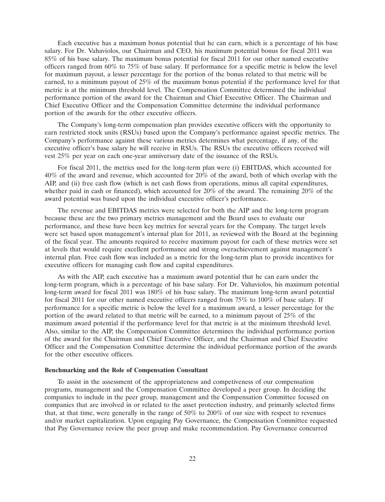Each executive has a maximum bonus potential that he can earn, which is a percentage of his base salary. For Dr. Vahaviolos, our Chairman and CEO, his maximum potential bonus for fiscal 2011 was 85% of his base salary. The maximum bonus potential for fiscal 2011 for our other named executive officers ranged from 60% to 75% of base salary. If performance for a specific metric is below the level for maximum payout, a lesser percentage for the portion of the bonus related to that metric will be earned, to a minimum payout of 25% of the maximum bonus potential if the performance level for that metric is at the minimum threshold level. The Compensation Committee determined the individual performance portion of the award for the Chairman and Chief Executive Officer. The Chairman and Chief Executive Officer and the Compensation Committee determine the individual performance portion of the awards for the other executive officers.

The Company's long-term compensation plan provides executive officers with the opportunity to earn restricted stock units (RSUs) based upon the Company's performance against specific metrics. The Company's performance against these various metrics determines what percentage, if any, of the executive officer's base salary he will receive in RSUs. The RSUs the executive officers received will vest 25% per year on each one-year anniversary date of the issuance of the RSUs.

For fiscal 2011, the metrics used for the long-term plan were (i) EBITDAS, which accounted for 40% of the award and revenue, which accounted for 20% of the award, both of which overlap with the AIP, and (ii) free cash flow (which is net cash flows from operations, minus all capital expenditures, whether paid in cash or financed), which accounted for  $20\%$  of the award. The remaining 20% of the award potential was based upon the individual executive officer's performance.

The revenue and EBITDAS metrics were selected for both the AIP and the long-term program because these are the two primary metrics management and the Board uses to evaluate our performance, and these have been key metrics for several years for the Company. The target levels were set based upon management's internal plan for 2011, as reviewed with the Board at the beginning of the fiscal year. The amounts required to receive maximum payout for each of these metrics were set at levels that would require excellent performance and strong overachievement against management's internal plan. Free cash flow was included as a metric for the long-term plan to provide incentives for executive officers for managing cash flow and capital expenditures.

As with the AIP, each executive has a maximum award potential that he can earn under the long-term program, which is a percentage of his base salary. For Dr. Vahaviolos, his maximum potential long-term award for fiscal 2011 was 180% of his base salary. The maximum long-term award potential for fiscal 2011 for our other named executive officers ranged from  $75\%$  to  $100\%$  of base salary. If performance for a specific metric is below the level for a maximum award, a lesser percentage for the portion of the award related to that metric will be earned, to a minimum payout of 25% of the maximum award potential if the performance level for that metric is at the minimum threshold level. Also, similar to the AIP, the Compensation Committee determines the individual performance portion of the award for the Chairman and Chief Executive Officer, and the Chairman and Chief Executive Officer and the Compensation Committee determine the individual performance portion of the awards for the other executive officers.

## **Benchmarking and the Role of Compensation Consultant**

To assist in the assessment of the appropriateness and competiveness of our compensation programs, management and the Compensation Committee developed a peer group. In deciding the companies to include in the peer group, management and the Compensation Committee focused on companies that are involved in or related to the asset protection industry, and primarily selected firms that, at that time, were generally in the range of  $50\%$  to  $200\%$  of our size with respect to revenues and/or market capitalization. Upon engaging Pay Governance, the Compensation Committee requested that Pay Governance review the peer group and make recommendation. Pay Governance concurred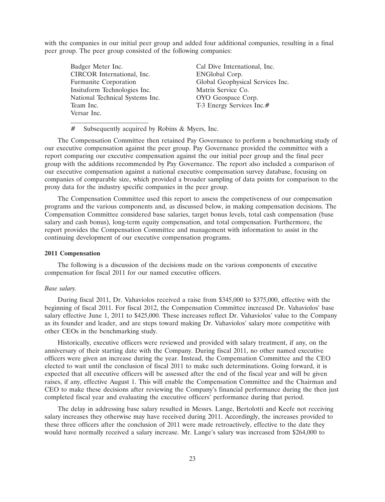with the companies in our initial peer group and added four additional companies, resulting in a final peer group. The peer group consisted of the following companies:

Badger Meter Inc. Cal Dive International, Inc. CIRCOR International, Inc. ENGlobal Corp. Insituform Technologies Inc. Matrix Service Co. National Technical Systems Inc. OYO Geospace Corp. T-3 Energy Services Inc.# Versar Inc.

Furmanite Corporation Global Geophysical Services Inc.

# Subsequently acquired by Robins & Myers, Inc.

The Compensation Committee then retained Pay Governance to perform a benchmarking study of our executive compensation against the peer group. Pay Governance provided the committee with a report comparing our executive compensation against the our initial peer group and the final peer group with the additions recommended by Pay Governance. The report also included a comparison of our executive compensation against a national executive compensation survey database, focusing on companies of comparable size, which provided a broader sampling of data points for comparison to the proxy data for the industry specific companies in the peer group.

The Compensation Committee used this report to assess the competiveness of our compensation programs and the various components and, as discussed below, in making compensation decisions. The Compensation Committee considered base salaries, target bonus levels, total cash compensation (base salary and cash bonus), long-term equity compensation, and total compensation. Furthermore, the report provides the Compensation Committee and management with information to assist in the continuing development of our executive compensation programs.

### **2011 Compensation**

The following is a discussion of the decisions made on the various components of executive compensation for fiscal 2011 for our named executive officers.

# *Base salary.*

During fiscal 2011, Dr. Vahaviolos received a raise from \$345,000 to \$375,000, effective with the beginning of fiscal 2011. For fiscal 2012, the Compensation Committee increased Dr. Vahaviolos' base salary effective June 1, 2011 to \$425,000. These increases reflect Dr. Vahaviolos' value to the Company as its founder and leader, and are steps toward making Dr. Vahaviolos' salary more competitive with other CEOs in the benchmarking study.

Historically, executive officers were reviewed and provided with salary treatment, if any, on the anniversary of their starting date with the Company. During fiscal 2011, no other named executive officers were given an increase during the year. Instead, the Compensation Committee and the CEO elected to wait until the conclusion of fiscal 2011 to make such determinations. Going forward, it is expected that all executive officers will be assessed after the end of the fiscal year and will be given raises, if any, effective August 1. This will enable the Compensation Committee and the Chairman and CEO to make these decisions after reviewing the Company's financial performance during the then just completed fiscal year and evaluating the executive officers' performance during that period.

The delay in addressing base salary resulted in Messrs. Lange, Bertolotti and Keefe not receiving salary increases they otherwise may have received during 2011. Accordingly, the increases provided to these three officers after the conclusion of 2011 were made retroactively, effective to the date they would have normally received a salary increase. Mr. Lange's salary was increased from \$264,000 to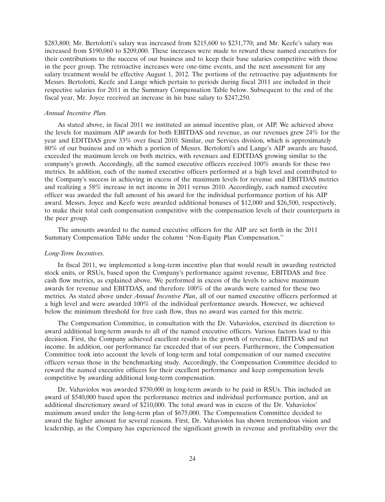\$283,800; Mr. Bertolotti's salary was increased from \$215,600 to \$231,770; and Mr. Keefe's salary was increased from \$190,060 to \$209,000. These increases were made to reward these named executives for their contributions to the success of our business and to keep their base salaries competitive with those in the peer group. The retroactive increases were one-time events, and the next assessment for any salary treatment would be effective August 1, 2012. The portions of the retroactive pay adjustments for Messrs. Bertolotti, Keefe and Lange which pertain to periods during fiscal 2011 are included in their respective salaries for 2011 in the Summary Compensation Table below. Subsequent to the end of the fiscal year, Mr. Joyce received an increase in his base salary to \$247,250.

#### *Annual Incentive Plan.*

As stated above, in fiscal 2011 we instituted an annual incentive plan, or AIP. We achieved above the levels for maximum AIP awards for both EBITDAS and revenue, as our revenues grew 24% for the year and EDITDAS grew 33% over fiscal 2010. Similar, our Services division, which is approximately 80% of our business and on which a portion of Messrs. Bertolotti's and Lange's AIP awards are based, exceeded the maximum levels on both metrics, with revenues and EDITDAS growing similar to the company's growth. Accordingly, all the named executive officers received 100% awards for these two metrics. In addition, each of the named executive officers performed at a high level and contributed to the Company's success in achieving in excess of the maximum levels for revenue and EBITDAS metrics and realizing a 58% increase in net income in 2011 versus 2010. Accordingly, each named executive officer was awarded the full amount of his award for the individual performance portion of his AIP award. Messrs. Joyce and Keefe were awarded additional bonuses of \$12,000 and \$26,500, respectively, to make their total cash compensation competitive with the compensation levels of their counterparts in the peer group.

The amounts awarded to the named executive officers for the AIP are set forth in the 2011 Summary Compensation Table under the column ''Non-Equity Plan Compensation.''

### *Long-Term Incentives*.

In fiscal 2011, we implemented a long-term incentive plan that would result in awarding restricted stock units, or RSUs, based upon the Company's performance against revenue, EBITDAS and free cash flow metrics, as explained above. We performed in excess of the levels to achieve maximum awards for revenue and EBITDAS, and therefore 100% of the awards were earned for these two metrics. As stated above under *Annual Incentive Plan*, all of our named executive officers performed at a high level and were awarded 100% of the individual performance awards. However, we achieved below the minimum threshold for free cash flow, thus no award was earned for this metric.

The Compensation Committee, in consultation with the Dr. Vahaviolos, exercised its discretion to award additional long-term awards to all of the named executive officers. Various factors lead to this decision. First, the Company achieved excellent results in the growth of revenue, EBITDAS and net income. In addition, our performance far exceeded that of our peers. Furthermore, the Compensation Committee took into account the levels of long-term and total compensation of our named executive officers versus those in the benchmarking study. Accordingly, the Compensation Committee decided to reward the named executive officers for their excellent performance and keep compensation levels competitive by awarding additional long-term compensation.

Dr. Vahaviolos was awarded \$750,000 in long-term awards to be paid in RSUs. This included an award of \$540,000 based upon the performance metrics and individual performance portion, and an additional discretionary award of \$210,000. The total award was in excess of the Dr. Vahaviolos' maximum award under the long-term plan of \$675,000. The Compensation Committee decided to award the higher amount for several reasons. First, Dr. Vahaviolos has shown tremendous vision and leadership, as the Company has experienced the significant growth in revenue and profitability over the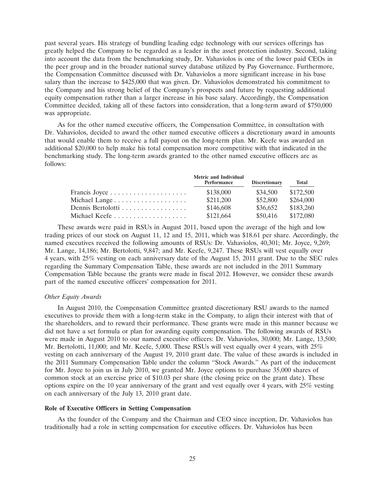past several years. His strategy of bundling leading edge technology with our services offerings has greatly helped the Company to be regarded as a leader in the asset protection industry. Second, taking into account the data from the benchmarking study, Dr. Vahaviolos is one of the lower paid CEOs in the peer group and in the broader national survey database utilized by Pay Governance. Furthermore, the Compensation Committee discussed with Dr. Vahaviolos a more significant increase in his base salary than the increase to \$425,000 that was given. Dr. Vahaviolos demonstrated his commitment to the Company and his strong belief of the Company's prospects and future by requesting additional equity compensation rather than a larger increase in his base salary. Accordingly, the Compensation Committee decided, taking all of these factors into consideration, that a long-term award of \$750,000 was appropriate.

As for the other named executive officers, the Compensation Committee, in consultation with Dr. Vahaviolos, decided to award the other named executive officers a discretionary award in amounts that would enable them to receive a full payout on the long-term plan. Mr. Keefe was awarded an additional \$20,000 to help make his total compensation more competitive with that indicated in the benchmarking study. The long-term awards granted to the other named executive officers are as follows:

|                   | <b>Metric and Individual</b><br>Performance | <b>Discretionary</b> | <b>Total</b> |
|-------------------|---------------------------------------------|----------------------|--------------|
|                   | \$138,000                                   | \$34,500             | \$172,500    |
|                   | \$211,200                                   | \$52,800             | \$264,000    |
| Dennis Bertolotti | \$146,608                                   | \$36,652             | \$183,260    |
| Michael Keefe     | \$121,664                                   | \$50,416             | \$172,080    |

These awards were paid in RSUs in August 2011, based upon the average of the high and low trading prices of our stock on August 11, 12 and 15, 2011, which was \$18.61 per share. Accordingly, the named executives received the following amounts of RSUs: Dr. Vahaviolos, 40,301; Mr. Joyce, 9,269; Mr. Lange, 14,186; Mr. Bertolotti, 9,847; and Mr. Keefe, 9,247. These RSUs will vest equally over 4 years, with 25% vesting on each anniversary date of the August 15, 2011 grant. Due to the SEC rules regarding the Summary Compensation Table, these awards are not included in the 2011 Summary Compensation Table because the grants were made in fiscal 2012. However, we consider these awards part of the named executive officers' compensation for 2011.

# *Other Equity Awards*

In August 2010, the Compensation Committee granted discretionary RSU awards to the named executives to provide them with a long-term stake in the Company, to align their interest with that of the shareholders, and to reward their performance. These grants were made in this manner because we did not have a set formula or plan for awarding equity compensation. The following awards of RSUs were made in August 2010 to our named executive officers: Dr. Vahaviolos, 30,000; Mr. Lange, 13,500; Mr. Bertolotti, 11,000; and Mr. Keefe, 5,000. These RSUs will vest equally over 4 years, with 25% vesting on each anniversary of the August 19, 2010 grant date. The value of these awards is included in the 2011 Summary Compensation Table under the column ''Stock Awards.'' As part of the inducement for Mr. Joyce to join us in July 2010, we granted Mr. Joyce options to purchase 35,000 shares of common stock at an exercise price of \$10.03 per share (the closing price on the grant date). These options expire on the 10 year anniversary of the grant and vest equally over 4 years, with 25% vesting on each anniversary of the July 13, 2010 grant date.

#### **Role of Executive Officers in Setting Compensation**

As the founder of the Company and the Chairman and CEO since inception, Dr. Vahaviolos has traditionally had a role in setting compensation for executive officers. Dr. Vahaviolos has been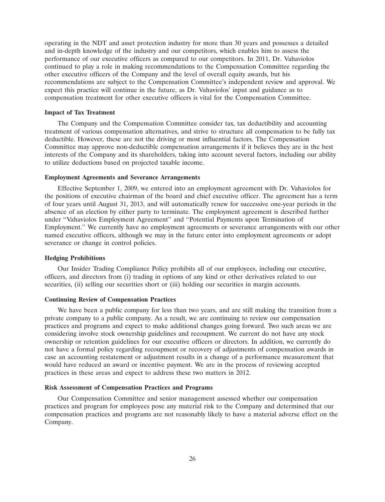operating in the NDT and asset protection industry for more than 30 years and possesses a detailed and in-depth knowledge of the industry and our competitors, which enables him to assess the performance of our executive officers as compared to our competitors. In 2011, Dr. Vahaviolos continued to play a role in making recommendations to the Compensation Committee regarding the other executive officers of the Company and the level of overall equity awards, but his recommendations are subject to the Compensation Committee's independent review and approval. We expect this practice will continue in the future, as Dr. Vahaviolos' input and guidance as to compensation treatment for other executive officers is vital for the Compensation Committee.

# **Impact of Tax Treatment**

The Company and the Compensation Committee consider tax, tax deductibility and accounting treatment of various compensation alternatives, and strive to structure all compensation to be fully tax deductible. However, these are not the driving or most influential factors. The Compensation Committee may approve non-deductible compensation arrangements if it believes they are in the best interests of the Company and its shareholders, taking into account several factors, including our ability to utilize deductions based on projected taxable income.

### **Employment Agreements and Severance Arrangements**

Effective September 1, 2009, we entered into an employment agreement with Dr. Vahaviolos for the positions of executive chairman of the board and chief executive officer. The agreement has a term of four years until August 31, 2013, and will automatically renew for successive one-year periods in the absence of an election by either party to terminate. The employment agreement is described further under ''Vahaviolos Employment Agreement'' and ''Potential Payments upon Termination of Employment.'' We currently have no employment agreements or severance arrangements with our other named executive officers, although we may in the future enter into employment agreements or adopt severance or change in control policies.

# **Hedging Prohibitions**

Our Insider Trading Compliance Policy prohibits all of our employees, including our executive, officers, and directors from (i) trading in options of any kind or other derivatives related to our securities, (ii) selling our securities short or (iii) holding our securities in margin accounts.

# **Continuing Review of Compensation Practices**

We have been a public company for less than two years, and are still making the transition from a private company to a public company. As a result, we are continuing to review our compensation practices and programs and expect to make additional changes going forward. Two such areas we are considering involve stock ownership guidelines and recoupment. We current do not have any stock ownership or retention guidelines for our executive officers or directors. In addition, we currently do not have a formal policy regarding recoupment or recovery of adjustments of compensation awards in case an accounting restatement or adjustment results in a change of a performance measurement that would have reduced an award or incentive payment. We are in the process of reviewing accepted practices in these areas and expect to address these two matters in 2012.

#### **Risk Assessment of Compensation Practices and Programs**

Our Compensation Committee and senior management assessed whether our compensation practices and program for employees pose any material risk to the Company and determined that our compensation practices and programs are not reasonably likely to have a material adverse effect on the Company.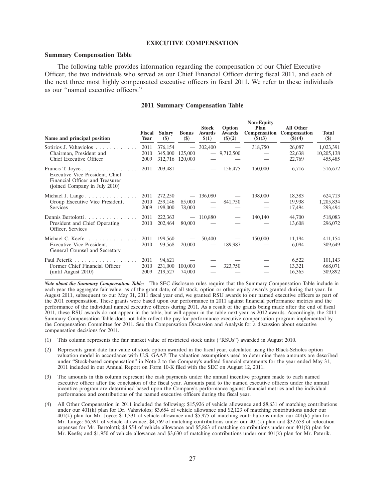### **EXECUTIVE COMPENSATION**

#### **Summary Compensation Table**

The following table provides information regarding the compensation of our Chief Executive Officer, the two individuals who served as our Chief Financial Officer during fiscal 2011, and each of the next three most highly compensated executive officers in fiscal 2011. We refer to these individuals as our ''named executive officers.''

### **2011 Summary Compensation Table**

| Name and principal position                                                                                             | Fiscal<br>Year       | <b>Salary</b><br>$(\$)$       | <b>Bonus</b><br>$(\$)$                         | <b>Stock</b><br><b>Awards</b><br>\$(1) | Option<br>Awards<br>$($ \$ $)(2)$ | <b>Non-Equity</b><br>Plan<br>Compensation<br>$($ \$ $)(3)$ | <b>All Other</b><br>Compensation<br>$($ \$ $)(4)$ | <b>Total</b><br>$(\$)$             |
|-------------------------------------------------------------------------------------------------------------------------|----------------------|-------------------------------|------------------------------------------------|----------------------------------------|-----------------------------------|------------------------------------------------------------|---------------------------------------------------|------------------------------------|
| Sotirios J. Vahaviolos<br>Chairman, President and<br>Chief Executive Officer                                            | 2011<br>2010<br>2009 | 376,154<br>345,000<br>312,716 | $\overline{\phantom{0}}$<br>125,000<br>120,000 | 302,400                                | $-9,712,500$                      | 318,750                                                    | 26,087<br>22,638<br>22,769                        | 1,023,391<br>10,205,138<br>455,485 |
| Francis T. Joyce<br>Executive Vice President, Chief<br>Financial Officer and Treasurer<br>(joined Company in July 2010) | 2011                 | 203,481                       |                                                |                                        | 156,475                           | 150,000                                                    | 6,716                                             | 516,672                            |
| Michael J. Lange $\dots \dots \dots \dots \dots$<br>Group Executive Vice President,<br><b>Services</b>                  | 2011<br>2010<br>2009 | 272,250<br>259,146<br>198,000 | 85,000<br>78,000                               | $-136,080$                             | 841,750                           | 198,000                                                    | 18,383<br>19,938<br>17,494                        | 624,713<br>1,205,834<br>293,494    |
| Dennis Bertolotti<br>President and Chief Operating<br>Officer, Services                                                 | 2011<br>2010         | 222,363<br>202,464            | $\overline{\phantom{0}}$<br>80,000             | 110,880                                |                                   | 140,140                                                    | 44,700<br>13,608                                  | 518,083<br>296,072                 |
| Michael C. Keefe<br>Executive Vice President,<br>General Counsel and Secretary                                          | 2011<br>2010         | 199,560<br>93,568             | 20,000                                         | 50,400<br>$\overline{\phantom{0}}$     | 189,987                           | 150,000                                                    | 11,194<br>6.094                                   | 411,154<br>309,649                 |
| Former Chief Financial Officer<br>(until August 2010)                                                                   | 2011<br>2010<br>2009 | 94,621<br>231,000<br>219,527  | 100,000<br>74,000                              |                                        | 323,750                           |                                                            | 6,522<br>13,321<br>16,365                         | 101,143<br>668,071<br>309,892      |

*Note about the Summary Compensation Table:* The SEC disclosure rules require that the Summary Compensation Table include in each year the aggregate fair value, as of the grant date, of all stock, option or other equity awards granted during that year. In August 2011, subsequent to our May 31, 2011 fiscal year end, we granted RSU awards to our named executive officers as part of the 2011 compensation. These grants were based upon our performance in 2011 against financial performance metrics and the performance of the individual named executive officers during 2011. As a result of the grants being made after the end of fiscal 2011, these RSU awards do not appear in the table, but will appear in the table next year as 2012 awards. Accordingly, the 2011 Summary Compensation Table does not fully reflect the pay-for-performance executive compensation program implemented by the Compensation Committee for 2011. See the Compensation Discussion and Analysis for a discussion about executive compensation decisions for 2011.

- (1) This column represents the fair market value of restricted stock units (''RSUs'') awarded in August 2010.
- (2) Represents grant date fair value of stock option awarded in the fiscal year, calculated using the Black-Scholes option valuation model in accordance with U.S. GAAP. The valuation assumptions used to determine these amounts are described under ''Stock-based compensation'' in Note 2 to the Company's audited financial statements for the year ended May 31, 2011 included in our Annual Report on Form 10-K filed with the SEC on August 12, 2011.
- (3) The amounts in this column represent the cash payments under the annual incentive program made to each named executive officer after the conclusion of the fiscal year. Amounts paid to the named executive officers under the annual incentive program are determined based upon the Company's performance against financial metrics and the individual performance and contributions of the named executive officers during the fiscal year.
- (4) All Other Compensation in 2011 included the following: \$15,926 of vehicle allowance and \$8,631 of matching contributions under our  $401(\hat{k})$  plan for Dr. Vahaviolos; \$3,654 of vehicle allowance and \$2,123 of matching contributions under our  $401(k)$  plan for Mr. Joyce; \$11,331 of vehicle allowance and \$5,975 of matching contributions under our  $401(k)$  plan for Mr. Lange: \$6,391 of vehicle allowance, \$4,769 of matching contributions under our 401(k) plan and \$32,658 of relocation expenses for Mr. Bertolotti; \$4,554 of vehicle allowance and \$5,863 of matching contributions under our 401(k) plan for Mr. Keefe; and \$1,950 of vehicle allowance and \$3,630 of matching contributions under our 401(k) plan for Mr. Peterik.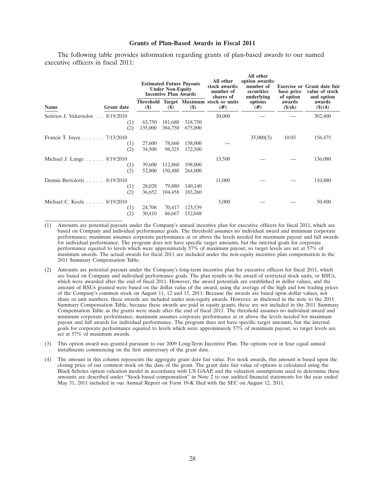#### **Grants of Plan-Based Awards in Fiscal 2011**

The following table provides information regarding grants of plan-based awards to our named executive officers in fiscal 2011:

| Name                                         |                   | <b>Estimated Future Payouts</b><br><b>Under Non-Equity</b><br><b>Incentive Plan Awards</b> |         | All other<br>stock awards:<br>number of<br>shares of | All other<br>option awards:<br>number of<br>securities<br>underlying | base price<br>of option | <b>Exercise or Grant date fair</b><br>value of stock<br>and option |                  |
|----------------------------------------------|-------------------|--------------------------------------------------------------------------------------------|---------|------------------------------------------------------|----------------------------------------------------------------------|-------------------------|--------------------------------------------------------------------|------------------|
|                                              | <b>Grant</b> date | $(\$)$                                                                                     | $(\$)$  | <b>(\$)</b>                                          | Threshold Target Maximum stock or units<br>(# )                      | options<br>$(\#)$       | awards<br>$(\frac{s}{sh})$                                         | awards<br>(3)(4) |
| Sotirios J. Vahaviolos 8/19/2010             |                   |                                                                                            |         |                                                      | 30,000                                                               |                         |                                                                    | 302,400          |
|                                              | (1)               | 63,750                                                                                     | 181,688 | 318,750                                              |                                                                      |                         |                                                                    |                  |
|                                              | (2)               | 135,000                                                                                    | 384,750 | 675,000                                              |                                                                      |                         |                                                                    |                  |
| Francis T. Joyce $\ldots \ldots$ 7/13/2010   |                   |                                                                                            |         |                                                      |                                                                      | 35,000(3)               | 10.03                                                              | 156,475          |
|                                              | (1)               | 27,600                                                                                     | 78,660  | 138,000                                              |                                                                      |                         |                                                                    |                  |
|                                              | (2)               | 34,500                                                                                     | 98,325  | 172,500                                              |                                                                      |                         |                                                                    |                  |
| Michael J. Lange $\ldots$ $\ldots$ 8/19/2010 |                   |                                                                                            |         |                                                      | 13,500                                                               |                         |                                                                    | 136,080          |
|                                              | (1)               | 39,600                                                                                     | 112,860 | 198,000                                              |                                                                      |                         |                                                                    |                  |
|                                              | (2)               | 52,800                                                                                     | 150,480 | 264,000                                              |                                                                      |                         |                                                                    |                  |
| Dennis Bertolotti $8/19/2010$                |                   |                                                                                            |         |                                                      | 11,000                                                               |                         |                                                                    | 110,880          |
|                                              | (1)               | 28,028                                                                                     | 79,880  | 140,140                                              |                                                                      |                         |                                                                    |                  |
|                                              | (2)               | 36,652                                                                                     | 104,458 | 183,260                                              |                                                                      |                         |                                                                    |                  |
| Michael C. Keefe $8/19/2010$                 |                   |                                                                                            |         |                                                      | 5,000                                                                |                         |                                                                    | 50,400           |
|                                              | (1)               | 24,708                                                                                     | 70,417  | 123,539                                              |                                                                      |                         |                                                                    |                  |
|                                              | (2)               | 30,410                                                                                     | 86,667  | 152,048                                              |                                                                      |                         |                                                                    |                  |
|                                              |                   |                                                                                            |         |                                                      |                                                                      |                         |                                                                    |                  |

(1) Amounts are potential payouts under the Company's annual incentive plan for executive officers for fiscal 2011, which are based on Company and individual performance goals. The threshold assumes no individual award and minimum corporate performance; maximum assumes corporate performance at or above the levels needed for maximum payout and full awards for individual performance. The program does not have specific target amounts, but the internal goals for corporate performance equated to levels which were approximately 57% of maximum payout, so target levels are set at 57% of maximum awards. The actual awards for fiscal 2011 are included under the non-equity incentive plan compensation in the 2011 Summary Compensation Table.

- (2) Amounts are potential payouts under the Company's long-term incentive plan for executive officers for fiscal 2011, which are based on Company and individual performance goals. The plan results in the award of restricted stock units, or RSUs, which were awarded after the end of fiscal 2011. However, the award potentials are established in dollar values, and the amount of RSUs granted were based on the dollar value of the award, using the average of the high and low trading prices of the Company's common stock on August 11, 12 and 15, 2011. Because the awards are based upon dollar values, not share or unit numbers, these awards are included under non-equity awards. However, as disclosed in the note to the 2011 Summary Compensation Table, because these awards are paid in equity grants, these are not included in the 2011 Summary Compensation Table as the grants were made after the end of fiscal 2011. The threshold assumes no individual award and minimum corporate performance; maximum assumes corporate performance at or above the levels needed for maximum payout and full awards for individual performance. The program does not have specific target amounts, but the internal goals for corporate performance equated to levels which were approximately 57% of maximum payout, so target levels are set at 57% of maximum awards.
- (3) This option award was granted pursuant to our 2009 Long-Term Incentive Plan. The options vest in four equal annual installments commencing on the first anniversary of the grant date.
- (4) The amount in this column represents the aggregate grant date fair value. For stock awards, this amount is based upon the closing price of our common stock on the date of the grant. The grant date fair value of options is calculated using the Black-Scholes option valuation model in accordance with US GAAP, and the valuation assumptions used to determine these amounts are described under ''Stock-based compensation'' in Note 2 to our audited financial statements for the year ended May 31, 2011 included in our Annual Report on Form 10-K filed with the SEC on August 12, 2011.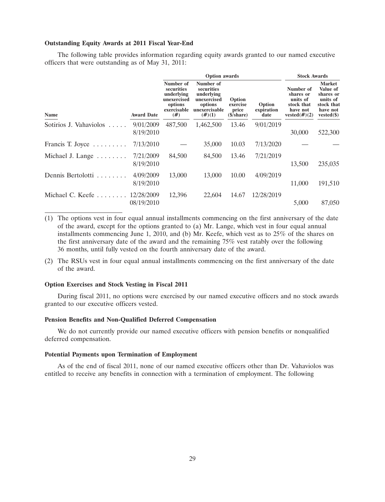### **Outstanding Equity Awards at 2011 Fiscal Year-End**

The following table provides information regarding equity awards granted to our named executive officers that were outstanding as of May 31, 2011:

|                        |                   |                                                                                          | <b>Option</b> awards                                                                          | <b>Stock Awards</b>                                       |                              |                                                                                  |                                                                                              |
|------------------------|-------------------|------------------------------------------------------------------------------------------|-----------------------------------------------------------------------------------------------|-----------------------------------------------------------|------------------------------|----------------------------------------------------------------------------------|----------------------------------------------------------------------------------------------|
| Name                   | <b>Award Date</b> | Number of<br>securities<br>underlying<br>unexercised<br>options<br>exercisable<br>$(\#)$ | Number of<br>securities<br>underlying<br>unexercised<br>options<br>unexercisable<br>$(\#)(1)$ | Option<br>exercise<br>price<br>$(\frac{s}{\text{share}})$ | Option<br>expiration<br>date | Number of<br>shares or<br>units of<br>stock that<br>have not<br>vested $(\#)(2)$ | <b>Market</b><br>Value of<br>shares or<br>units of<br>stock that<br>have not<br>$vested(\$)$ |
| Sotirios J. Vahaviolos | 9/01/2009         | 487,500                                                                                  | 1,462,500                                                                                     | 13.46                                                     | 9/01/2019                    |                                                                                  |                                                                                              |
|                        | 8/19/2010         |                                                                                          |                                                                                               |                                                           |                              | 30,000                                                                           | 522,300                                                                                      |
| Francis T. Joyce       | 7/13/2010         |                                                                                          | 35,000                                                                                        | 10.03                                                     | 7/13/2020                    |                                                                                  |                                                                                              |
| Michael J. Lange       | 7/21/2009         | 84,500                                                                                   | 84,500                                                                                        | 13.46                                                     | 7/21/2019                    |                                                                                  |                                                                                              |
|                        | 8/19/2010         |                                                                                          |                                                                                               |                                                           |                              | 13,500                                                                           | 235,035                                                                                      |
| Dennis Bertolotti      | 4/09/2009         | 13,000                                                                                   | 13,000                                                                                        | 10.00                                                     | 4/09/2019                    |                                                                                  |                                                                                              |
|                        | 8/19/2010         |                                                                                          |                                                                                               |                                                           |                              | 11,000                                                                           | 191,510                                                                                      |
| Michael C. Keefe       | 12/28/2009        | 12,396                                                                                   | 22,604                                                                                        | 14.67                                                     | 12/28/2019                   |                                                                                  |                                                                                              |
|                        | 08/19/2010        |                                                                                          |                                                                                               |                                                           |                              | 5,000                                                                            | 87,050                                                                                       |
|                        |                   |                                                                                          |                                                                                               |                                                           |                              |                                                                                  |                                                                                              |

(1) The options vest in four equal annual installments commencing on the first anniversary of the date of the award, except for the options granted to (a) Mr. Lange, which vest in four equal annual installments commencing June 1, 2010, and (b) Mr. Keefe, which vest as to 25% of the shares on the first anniversary date of the award and the remaining 75% vest ratably over the following 36 months, until fully vested on the fourth anniversary date of the award.

(2) The RSUs vest in four equal annual installments commencing on the first anniversary of the date of the award.

#### **Option Exercises and Stock Vesting in Fiscal 2011**

During fiscal 2011, no options were exercised by our named executive officers and no stock awards granted to our executive officers vested.

### **Pension Benefits and Non-Qualified Deferred Compensation**

We do not currently provide our named executive officers with pension benefits or nonqualified deferred compensation.

### **Potential Payments upon Termination of Employment**

As of the end of fiscal 2011, none of our named executive officers other than Dr. Vahaviolos was entitled to receive any benefits in connection with a termination of employment. The following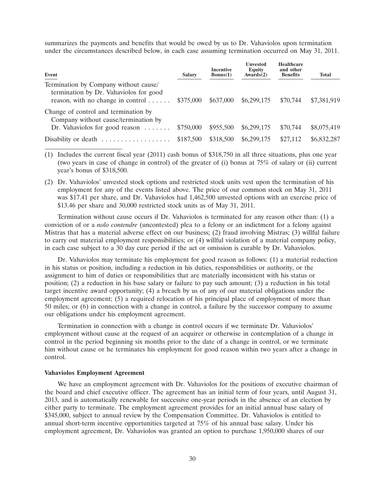summarizes the payments and benefits that would be owed by us to Dr. Vahaviolos upon termination under the circumstances described below, in each case assuming termination occurred on May 31, 2011.

| Event                                                                                                                          | <b>Salary</b> | <b>Incentive</b><br>Bonus(1) | <b>Unvested</b><br>Equity<br>Awards(2) | <b>Healthcare</b><br>and other<br><b>Benefits</b> | <b>Total</b> |
|--------------------------------------------------------------------------------------------------------------------------------|---------------|------------------------------|----------------------------------------|---------------------------------------------------|--------------|
| Termination by Company without cause/<br>termination by Dr. Vahaviolos for good<br>reason, with no change in control $\dots$ . | \$375,000     | \$637,000                    | \$6,299,175                            | \$70,744                                          | \$7,381,919  |
| Change of control and termination by<br>Company without cause/termination by<br>Dr. Vahaviolos for good reason $\dots \dots$   | \$750,000     | \$955,500                    | \$6,299,175                            | \$70,744                                          | \$8,075,419  |
| Disability or death                                                                                                            | \$187,500     | \$318,500                    | \$6,299,175                            | \$27,112                                          | \$6,832,287  |

(1) Includes the current fiscal year (2011) cash bonus of \$318,750 in all three situations, plus one year (two years in case of change in control) of the greater of (i) bonus at 75% of salary or (ii) current year's bonus of \$318,500.

(2) Dr. Vahaviolos' unvested stock options and restricted stock units vest upon the termination of his employment for any of the events listed above. The price of our common stock on May 31, 2011 was \$17.41 per share, and Dr. Vahaviolos had 1,462,500 unvested options with an exercise price of \$13.46 per share and 30,000 restricted stock units as of May 31, 2011.

Termination without cause occurs if Dr. Vahaviolos is terminated for any reason other than: (1) a conviction of or a *nolo contendre* (uncontested) plea to a felony or an indictment for a felony against Mistras that has a material adverse effect on our business; (2) fraud involving Mistras; (3) willful failure to carry out material employment responsibilities; or (4) willful violation of a material company policy, in each case subject to a 30 day cure period if the act or omission is curable by Dr. Vahaviolos.

Dr. Vahaviolos may terminate his employment for good reason as follows: (1) a material reduction in his status or position, including a reduction in his duties, responsibilities or authority, or the assignment to him of duties or responsibilities that are materially inconsistent with his status or position; (2) a reduction in his base salary or failure to pay such amount; (3) a reduction in his total target incentive award opportunity; (4) a breach by us of any of our material obligations under the employment agreement; (5) a required relocation of his principal place of employment of more than 50 miles; or (6) in connection with a change in control, a failure by the successor company to assume our obligations under his employment agreement.

Termination in connection with a change in control occurs if we terminate Dr. Vahaviolos' employment without cause at the request of an acquirer or otherwise in contemplation of a change in control in the period beginning six months prior to the date of a change in control, or we terminate him without cause or he terminates his employment for good reason within two years after a change in control.

## **Vahaviolos Employment Agreement**

We have an employment agreement with Dr. Vahaviolos for the positions of executive chairman of the board and chief executive officer. The agreement has an initial term of four years, until August 31, 2013, and is automatically renewable for successive one-year periods in the absence of an election by either party to terminate. The employment agreement provides for an initial annual base salary of \$345,000, subject to annual review by the Compensation Committee. Dr. Vahaviolos is entitled to annual short-term incentive opportunities targeted at 75% of his annual base salary. Under his employment agreement, Dr. Vahaviolos was granted an option to purchase 1,950,000 shares of our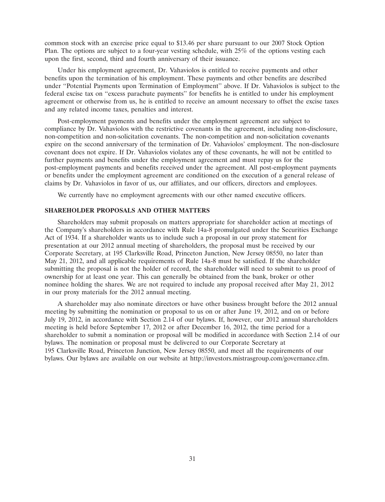common stock with an exercise price equal to \$13.46 per share pursuant to our 2007 Stock Option Plan. The options are subject to a four-year vesting schedule, with 25% of the options vesting each upon the first, second, third and fourth anniversary of their issuance.

Under his employment agreement, Dr. Vahaviolos is entitled to receive payments and other benefits upon the termination of his employment. These payments and other benefits are described under ''Potential Payments upon Termination of Employment'' above. If Dr. Vahaviolos is subject to the federal excise tax on ''excess parachute payments'' for benefits he is entitled to under his employment agreement or otherwise from us, he is entitled to receive an amount necessary to offset the excise taxes and any related income taxes, penalties and interest.

Post-employment payments and benefits under the employment agreement are subject to compliance by Dr. Vahaviolos with the restrictive covenants in the agreement, including non-disclosure, non-competition and non-solicitation covenants. The non-competition and non-solicitation covenants expire on the second anniversary of the termination of Dr. Vahaviolos' employment. The non-disclosure covenant does not expire. If Dr. Vahaviolos violates any of these covenants, he will not be entitled to further payments and benefits under the employment agreement and must repay us for the post-employment payments and benefits received under the agreement. All post-employment payments or benefits under the employment agreement are conditioned on the execution of a general release of claims by Dr. Vahaviolos in favor of us, our affiliates, and our officers, directors and employees.

We currently have no employment agreements with our other named executive officers.

# **SHAREHOLDER PROPOSALS AND OTHER MATTERS**

Shareholders may submit proposals on matters appropriate for shareholder action at meetings of the Company's shareholders in accordance with Rule 14a-8 promulgated under the Securities Exchange Act of 1934. If a shareholder wants us to include such a proposal in our proxy statement for presentation at our 2012 annual meeting of shareholders, the proposal must be received by our Corporate Secretary, at 195 Clarksville Road, Princeton Junction, New Jersey 08550, no later than May 21, 2012, and all applicable requirements of Rule 14a-8 must be satisfied. If the shareholder submitting the proposal is not the holder of record, the shareholder will need to submit to us proof of ownership for at least one year. This can generally be obtained from the bank, broker or other nominee holding the shares. We are not required to include any proposal received after May 21, 2012 in our proxy materials for the 2012 annual meeting.

A shareholder may also nominate directors or have other business brought before the 2012 annual meeting by submitting the nomination or proposal to us on or after June 19, 2012, and on or before July 19, 2012, in accordance with Section 2.14 of our bylaws. If, however, our 2012 annual shareholders meeting is held before September 17, 2012 or after December 16, 2012, the time period for a shareholder to submit a nomination or proposal will be modified in accordance with Section 2.14 of our bylaws. The nomination or proposal must be delivered to our Corporate Secretary at 195 Clarksville Road, Princeton Junction, New Jersey 08550, and meet all the requirements of our bylaws. Our bylaws are available on our website at http://investors.mistrasgroup.com/governance.cfm.